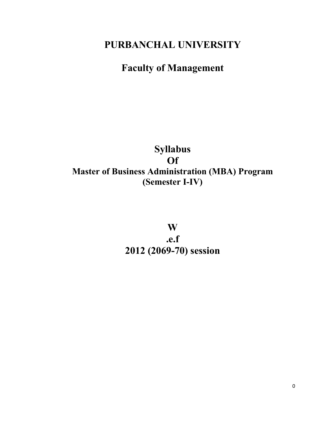# **PURBANCHAL UNIVERSITY**

# **Faculty of Management**

# **Syllabus Of Master of Business Administration (MBA) Program (Semester I-IV)**

**W .e.f 2012 (2069-70) session**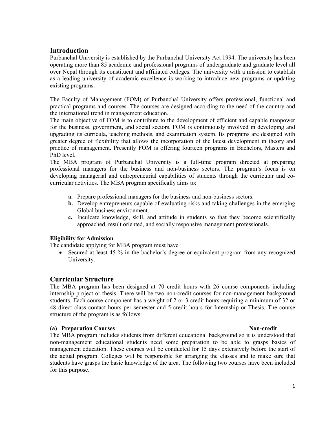## **Introduction**

Purbanchal University is established by the Purbanchal University Act 1994. The university has been operating more than 85 academic and professional programs of undergraduate and graduate level all over Nepal through its constituent and affiliated colleges. The university with a mission to establish as a leading university of academic excellence is working to introduce new programs or updating existing programs.

The Faculty of Management (FOM) of Purbanchal University offers professional, functional and practical programs and courses. The courses are designed according to the need of the country and the international trend in management education.

The main objective of FOM is to contribute to the development of efficient and capable manpower for the business, government, and social sectors. FOM is continuously involved in developing and upgrading its curricula, teaching methods, and examination system. Its programs are designed with greater degree of flexibility that allows the incorporation of the latest development in theory and practice of management. Presently FOM is offering fourteen programs in Bachelors, Masters and PhD level.

The MBA program of Purbanchal University is a full-time program directed at preparing professional managers for the business and non-business sectors. The program's focus is on developing managerial and entrepreneurial capabilities of students through the curricular and cocurricular activities. The MBA program specifically aims to:

- **a.** Prepare professional managers for the business and non-business sectors.
- **b.** Develop entrepreneurs capable of evaluating risks and taking challenges in the emerging Global business environment.
- **c.** Inculcate knowledge, skill, and attitude in students so that they become scientifically approached, result oriented, and socially responsive management professionals.

#### **Eligibility for Admission**

The candidate applying for MBA program must have

 Secured at least 45 % in the bachelor's degree or equivalent program from any recognized University.

### **Curricular Structure**

The MBA program has been designed at 70 credit hours with 26 course components including internship project or thesis. There will be two non-credit courses for non-management background students. Each course component has a weight of 2 or 3 credit hours requiring a minimum of 32 or 48 direct class contact hours per semester and 5 credit hours for Internship or Thesis. The course structure of the program is as follows:

### **(a) Preparation Courses** Non-credit

The MBA program includes students from different educational background so it is understood that non-management educational students need some preparation to be able to grasps basics of management education. These courses will be conducted for 15 days extensively before the start of the actual program. Colleges will be responsible for arranging the classes and to make sure that students have grasps the basic knowledge of the area. The following two courses have been included for this purpose.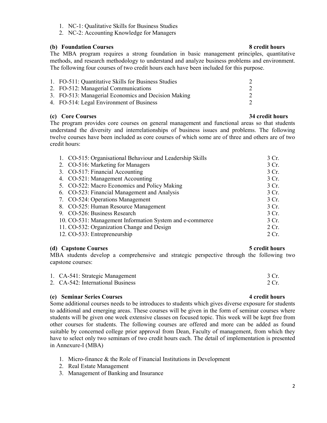- 1. NC-1: Qualitative Skills for Business Studies
- 2. NC-2: Accounting Knowledge for Managers

### **(b) Foundation Courses 8 credit hours**

The MBA program requires a strong foundation in basic management principles, quantitative methods, and research methodology to understand and analyze business problems and environment. The following four courses of two credit hours each have been included for this purpose.

| 1. FO-511: Quantitative Skills for Business Studies |  |
|-----------------------------------------------------|--|
| 2. FO-512: Managerial Communications                |  |
| 3. FO-513: Managerial Economics and Decision Making |  |
| 4. FO-514: Legal Environment of Business            |  |

## **(c) Core Courses 34 credit hours**

The program provides core courses on general management and functional areas so that students understand the diversity and interrelationships of business issues and problems. The following twelve courses have been included as core courses of which some are of three and others are of two credit hours:

| 1. CO-515: Organisational Behaviour and Leadership Skills | 3 Cr. |
|-----------------------------------------------------------|-------|
| 2. CO-516: Marketing for Managers                         | 3 Cr. |
| 3. CO-517: Financial Accounting                           | 3 Cr. |
| 4. CO-521: Management Accounting                          | 3 Cr. |
| 5. CO-522: Macro Economics and Policy Making              | 3 Cr. |
| 6. CO-523: Financial Management and Analysis              | 3 Cr. |
| 7. CO-524: Operations Management                          | 3 Cr. |
| 8. CO-525: Human Resource Management                      | 3 Cr. |
| 9. CO-526: Business Research                              | 3 Cr. |
| 10. CO-531: Management Information System and e-commerce  | 3 Cr. |
| 11. CO-532: Organization Change and Design                | 2 Cr. |
| 12. CO-533: Entrepreneurship                              | 2 Cr. |

**(d) Capstone Courses 5 credit hours** MBA students develop a comprehensive and strategic perspective through the following two capstone courses:

| 1. CA-541: Strategic Management   | 3 Cr. |
|-----------------------------------|-------|
| 2. CA-542: International Business | 2 Cr. |

### **(e) Seminar Series Courses 4 credit hours**

Some additional courses needs to be introduces to students which gives diverse exposure for students to additional and emerging areas. These courses will be given in the form of seminar courses where students will be given one week extensive classes on focused topic. This week will be kept free from other courses for students. The following courses are offered and more can be added as found suitable by concerned college prior approval from Dean, Faculty of management, from which they have to select only two seminars of two credit hours each. The detail of implementation is presented in Annexure-I (MBA)

- 1. Micro-finance & the Role of Financial Institutions in Development
- 2. Real Estate Management
- 3. Management of Banking and Insurance

## 2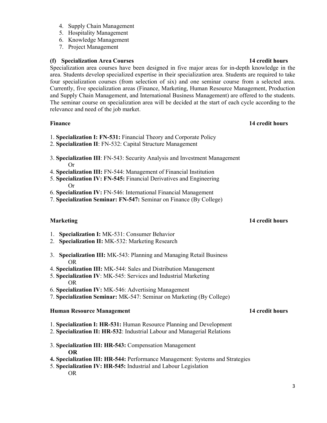- 4. Supply Chain Management
- 5. Hospitality Management
- 6. Knowledge Management
- 7. Project Management

## **(f) Specialization Area Courses 14 credit hours**

Specialization area courses have been designed in five major areas for in-depth knowledge in the area. Students develop specialized expertise in their specialization area. Students are required to take four specialization courses (from selection of six) and one seminar course from a selected area. Currently, five specialization areas (Finance, Marketing, Human Resource Management, Production and Supply Chain Management, and International Business Management) are offered to the students. The seminar course on specialization area will be decided at the start of each cycle according to the relevance and need of the job market.

## **Finance** 14 credit hours

- 1. **Specialization I: FN-531:** Financial Theory and Corporate Policy
- 2. **Specialization II**: FN-532: Capital Structure Management
- 3. **Specialization III**: FN-543: Security Analysis and Investment Management Or
- 4. **Specialization III:** FN-544: Management of Financial Institution
- 5. **Specialization IV: FN-545:** Financial Derivatives and Engineering Or
- 6. **Specialization IV:** FN-546: International Financial Management
- 7. **Specialization Seminar: FN-547:** Seminar on Finance (By College)

- 1. **Specialization I:** MK-531: Consumer Behavior
- 2. **Specialization II:** MK-532: Marketing Research
- 3. **Specialization III:** MK-543: Planning and Managing Retail Business OR
- 4. **Specialization III:** MK-544: Sales and Distribution Management
- 5. **Specialization IV**: MK-545: Services and Industrial Marketing OR
- 6. **Specialization IV:** MK-546: Advertising Management
- 7. **Specialization Seminar:** MK-547: Seminar on Marketing (By College)

## **Human Resource Management** 14 credit hours

- 1. **Specialization I: HR-531:** Human Resource Planning and Development
- 2. **Specialization II: HR-532**: Industrial Labour and Managerial Relations
- 3. **Specialization III: HR-543:** Compensation Management **OR**
- **4. Specialization III: HR-544:** Performance Management: Systems and Strategies
- 5. **Specialization IV: HR-545:** Industrial and Labour Legislation OR

## **Marketing 14 credit hours** 2008 **14 credit hours**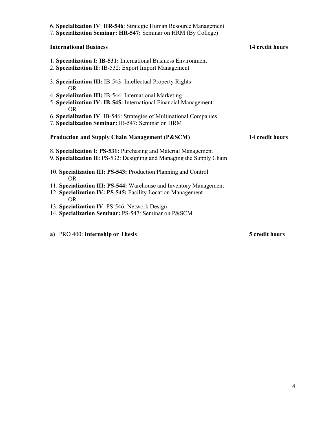| 6. Specialization IV: HR-546: Strategic Human Resource Management<br>7. Specialization Seminar: HR-547: Seminar on HRM (By College)      |                 |
|------------------------------------------------------------------------------------------------------------------------------------------|-----------------|
| <b>International Business</b>                                                                                                            | 14 credit hours |
| 1. Specialization I: IB-531: International Business Environment<br>2. Specialization II: IB-532: Export Import Management                |                 |
| 3. Specialization III: IB-543: Intellectual Property Rights<br>OR.                                                                       |                 |
| 4. Specialization III: IB-544: International Marketing<br>5. Specialization IV: IB-545: International Financial Management               |                 |
| <b>OR</b><br>6. Specialization IV: IB-546: Strategies of Multinational Companies<br>7. Specialization Seminar: IB-547: Seminar on HRM    |                 |
|                                                                                                                                          |                 |
| <b>Production and Supply Chain Management (P&amp;SCM)</b>                                                                                | 14 credit hours |
| 8. Specialization I: PS-531: Purchasing and Material Management<br>9. Specialization II: PS-532: Designing and Managing the Supply Chain |                 |
| 10. Specialization III: PS-543: Production Planning and Control<br>OR.                                                                   |                 |
| 11. Specialization III: PS-544: Warehouse and Inventory Management<br>12. Specialization IV: PS-545: Facility Location Management        |                 |
| OR.<br>13. Specialization IV: PS-546: Network Design<br>14. Specialization Seminar: PS-547: Seminar on P&SCM                             |                 |

**a**) PRO 400: **Internship or Thesis** 5 credit hours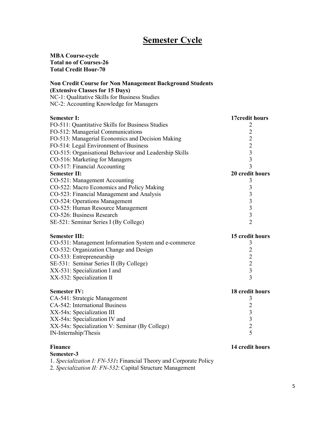# **Semester Cycle**

**MBA Course-cycle Total no of Courses-26 Total Credit Hour-70** 

### **Non Credit Course for Non Management Background Students (Extensive Classes for 15 Days)**

NC-1: Qualitative Skills for Business Studies NC-2: Accounting Knowledge for Managers

| <b>Semester I:</b>                                     | 17credit hours          |
|--------------------------------------------------------|-------------------------|
| FO-511: Quantitative Skills for Business Studies       | 2                       |
| FO-512: Managerial Communications                      | $\overline{2}$          |
| FO-513: Managerial Economics and Decision Making       | $\overline{2}$          |
| FO-514: Legal Environment of Business                  | $\overline{2}$          |
| CO-515: Organisational Behaviour and Leadership Skills | $\overline{\mathbf{3}}$ |
| CO-516: Marketing for Managers                         | $\overline{3}$          |
| CO-517: Financial Accounting                           | $\overline{3}$          |
| <b>Semester II:</b>                                    | 20 credit hours         |
| CO-521: Management Accounting                          | 3                       |
| CO-522: Macro Economics and Policy Making              | $\mathfrak{Z}$          |
| CO-523: Financial Management and Analysis              | $\overline{\mathbf{3}}$ |
| CO-524: Operations Management                          | $\overline{\mathbf{3}}$ |
| CO-525: Human Resource Management                      | $\overline{3}$          |
| CO-526: Business Research                              | $\overline{\mathbf{3}}$ |
| SE-521: Seminar Series I (By College)                  | $\overline{2}$          |
| <b>Semester III:</b>                                   | 15 credit hours         |
| CO-531: Management Information System and e-commerce   | 3                       |
| CO-532: Organization Change and Design                 | $\overline{2}$          |
| CO-533: Entrepreneurship                               | $\overline{2}$          |
| SE-531: Seminar Series II (By College)                 | $\overline{2}$          |
| XX-531: Specialization I and                           | $\overline{3}$          |
| XX-532: Specialization II                              | $\overline{3}$          |
| <b>Semester IV:</b>                                    | 18 credit hours         |
| CA-541: Strategic Management                           | 3                       |
| CA-542: International Business                         | $\overline{2}$          |
| XX-54x: Specialization III                             | 3                       |
| XX-54x: Specialization IV and                          | $\overline{\mathbf{3}}$ |
| XX-54x: Specialization V: Seminar (By College)         | $\overline{2}$          |
| IN-Internship/Thesis                                   | 5                       |

#### **Finance** 14 credit hours

**Semester-3**

1. *Specialization I: FN-531***:** Financial Theory and Corporate Policy

2. *Specialization II: FN-532*: Capital Structure Management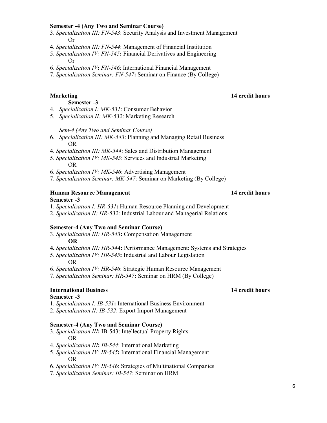#### **Semester -4 (Any Two and Seminar Course)**

- 3. *Specialization III: FN-543*: Security Analysis and Investment Management Or
- 4. *Specialization III: FN-544*: Management of Financial Institution
- 5. *Specialization IV: FN-545***:** Financial Derivatives and Engineering Or

7. *Specialization Seminar: FN-547***:** Seminar on Finance (By College)

#### **Semester -3**

- 4. *Specialization I: MK-531*: Consumer Behavior
- 5. *Specialization II: MK-532*: Marketing Research

#### *Sem-4 (Any Two and Seminar Course)*

- 6. *Specialization III: MK-543*: Planning and Managing Retail Business OR
- 4. *Specialization III: MK-544*: Sales and Distribution Management
- 5. *Specialization IV: MK-545*: Services and Industrial Marketing OR
- 6. *Specialization IV: MK-546*: Advertising Management
- 7. *Specialization Seminar: MK-547*: Seminar on Marketing (By College)

## **Human Resource Management** 14 credit hours

#### **Semester -3**

1. *Specialization I: HR-531***:** Human Resource Planning and Development

2. *Specialization II: HR-532*: Industrial Labour and Managerial Relations

#### **Semester-4 (Any Two and Seminar Course)**

- 3. *Specialization III: HR-543***:** Compensation Management **OR**
- **4.** *Specialization III: HR-54***4:** Performance Management: Systems and Strategies
- 5. *Specialization IV: HR-545***:** Industrial and Labour Legislation OR
- 6. *Specialization IV: HR-546*: Strategic Human Resource Management
- 7. *Specialization Seminar: HR-547***:** Seminar on HRM (By College)

### **International Business 14 credit hours**

#### **Semester -3**

- 1. *Specialization I: IB-531***:** International Business Environment
- 2. *Specialization II: IB-532*: Export Import Management

#### **Semester-4 (Any Two and Seminar Course)**

- 3. *Specialization III***:** IB-543: Intellectual Property Rights OR
- 4. *Specialization III***:** *IB-544*: International Marketing
- 5. *Specialization IV: IB-545***:** International Financial Management OR
- 6. *Specialization IV: IB-546*: Strategies of Multinational Companies
- 7. *Specialization Seminar: IB-547*: Seminar on HRM

## **Marketing 14 credit hours** 2008 **14 credit hours**

<sup>6.</sup> *Specialization IV***:** *FN-546*: International Financial Management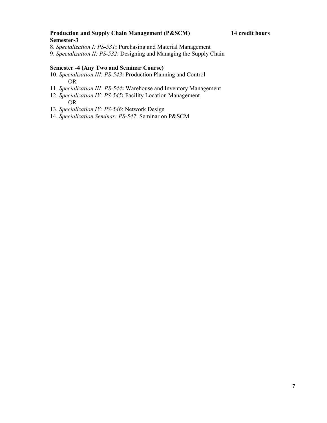### **Production and Supply Chain Management (P&SCM) 14 credit hours Semester-3**

- 8. *Specialization I: PS-531***:** Purchasing and Material Management
- 9. *Specialization II: PS-532*: Designing and Managing the Supply Chain

#### **Semester -4 (Any Two and Seminar Course)**

- 10. *Specialization III: PS-543***:** Production Planning and Control OR
- 11. *Specialization III: PS-544***:** Warehouse and Inventory Management
- 12. *Specialization IV: PS-545***:** Facility Location Management OR
- 13. *Specialization IV: PS-546*: Network Design
- 14. *Specialization Seminar: PS-547*: Seminar on P&SCM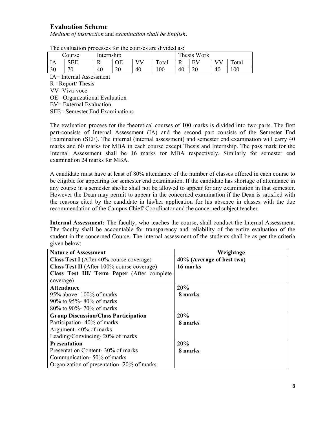## **Evaluation Scheme**

*Medium of instruction* and *examination shall be English*.

| The evaluation processes for the courses are divided as. |              |            |    |      |       |     |                |    |       |
|----------------------------------------------------------|--------------|------------|----|------|-------|-----|----------------|----|-------|
|                                                          | Course       | Internship |    |      |       |     | Thesis Work    |    |       |
| IA                                                       | SEE          | R          | ОE | 8787 | Total | - K | F <sub>I</sub> |    | Total |
| 30                                                       | $70^{\circ}$ | 40         | 20 | 40   | 00    | 40  | 20             | 40 | 100   |

The evaluation processes for the courses are divided as:

IA= Internal Assessment

R= Report/ Thesis

VV=Viva-voce

OE= Organizational Evaluation

EV= External Evaluation

SEE= Semester End Examinations

The evaluation process for the theoretical courses of 100 marks is divided into two parts. The first part-consists of Internal Assessment (IA) and the second part consists of the Semester End Examination (SEE). The internal (internal assessment) and semester end examination will carry 40 marks and 60 marks for MBA in each course except Thesis and Internship. The pass mark for the Internal Assessment shall be 16 marks for MBA respectively. Similarly for semester end examination 24 marks for MBA.

A candidate must have at least of 80% attendance of the number of classes offered in each course to be eligible for appearing for semester end examination. If the candidate has shortage of attendance in any course in a semester she/he shall not be allowed to appear for any examination in that semester. However the Dean may permit to appear in the concerned examination if the Dean is satisfied with the reasons cited by the candidate in his/her application for his absence in classes with the due recommendation of the Campus Chief/ Coordinator and the concerned subject teacher.

**Internal Assessment:** The faculty, who teaches the course, shall conduct the Internal Assessment. The faculty shall be accountable for transparency and reliability of the entire evaluation of the student in the concerned Course. The internal assessment of the students shall be as per the criteria given below:

| <b>Nature of Assessment</b>                 | Weightage                 |
|---------------------------------------------|---------------------------|
| Class Test I (After 40% course coverage)    | 40% (Average of best two) |
| Class Test II (After 100% course coverage)  | 16 marks                  |
| Class Test III/ Term Paper (After complete) |                           |
| coverage)                                   |                           |
| <b>Attendance</b>                           | 20%                       |
| $95\%$ above- 100% of marks                 | 8 marks                   |
| 90% to 95%-80% of marks                     |                           |
| 80\% to 90\% 0 70\% of marks                |                           |
| <b>Group Discussion/Class Participation</b> | 20%                       |
| Participation-40% of marks                  | 8 marks                   |
| Argument-40% of marks                       |                           |
| Leading/Convincing-20% of marks             |                           |
| <b>Presentation</b>                         | 20%                       |
| Presentation Content-30% of marks           | 8 marks                   |
| Communication-50% of marks                  |                           |
| Organization of presentation - 20% of marks |                           |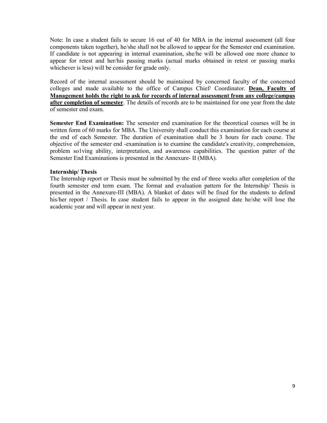Note: In case a student fails to secure 16 out of 40 for MBA in the internal assessment (all four components taken together), he/she shall not be allowed to appear for the Semester end examination. If candidate is not appearing in internal examination, she/he will be allowed one more chance to appear for retest and her/his passing marks (actual marks obtained in retest or passing marks whichever is less) will be consider for grade only.

Record of the internal assessment should be maintained by concerned faculty of the concerned colleges and made available to the office of Campus Chief/ Coordinator. **Dean, Faculty of Management holds the right to ask for records of internal assessment from any college/campus after completion of semester**. The details of records are to be maintained for one year from the date of semester end exam.

**Semester End Examination:** The semester end examination for the theoretical courses will be in written form of 60 marks for MBA. The University shall conduct this examination for each course at the end of each Semester. The duration of examination shall be 3 hours for each course. The objective of the semester end -examination is to examine the candidate's creativity, comprehension, problem so1ving ability, interpretation, and awareness capabilities. The question patter of the Semester End Examinations is presented in the Annexure- II (MBA).

#### **Internship/ Thesis**

The Internship report or Thesis must be submitted by the end of three weeks after completion of the fourth semester end term exam. The format and evaluation pattern for the Internship/ Thesis is presented in the Annexure-III (MBA). A blanket of dates will be fixed for the students to defend his/her report / Thesis. In case student fails to appear in the assigned date he/she will lose the academic year and will appear in next year.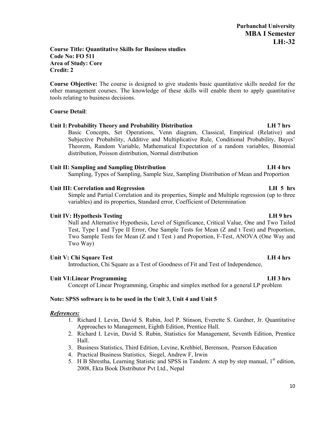#### **Course Title: Quantitative Skills for Business studies Code No: FO 511 Area of Study: Core Credit: 2**

**Course Objective:** The course is designed to give students basic quantitative skills needed for the other management courses. The knowledge of these skills will enable them to apply quantitative tools relating to business decisions.

### **Course Detail**:

### **Unit I:Probability Theory and Probability Distribution LH 7 hrs**

Basic Concepts, Set Operations, Venn diagram, Classical, Empirical (Relative) and Subjective Probability, Additive and Multiplicative Rule, Conditional Probability, Bayes' Theorem, Random Variable, Mathematical Expectation of a random variables, Binomial distribution, Poisson distribution, Normal distribution

### **Unit II: Sampling and Sampling Distribution LH 4 hrs**

Sampling, Types of Sampling, Sample Size, Sampling Distribution of Mean and Proportion

#### **Unit III: Correlation and Regression LH 5 hrs**

Simple and Partial Correlation and its properties, Simple and Multiple regression (up to three variables) and its properties, Standard error, Coefficient of Determination

### Unit IV: Hypothesis Testing **LH 9** hrs

Null and Alternative Hypothesis, Level of Significance, Critical Value, One and Two Tailed Test, Type I and Type II Error, One Sample Tests for Mean (Z and t Test) and Proportion, Two Sample Tests for Mean (Z and t Test ) and Proportion, F-Test, ANOVA (One Way and Two Way)

### **Unit V: Chi Square Test LH 4 hrs**

Introduction, Chi Square as a Test of Goodness of Fit and Test of Independence,

#### **Unit VI:Linear Programming LH 3 hrs**

Concept of Linear Programming, Graphic and simplex method for a general LP problem

### **Note: SPSS software is to be used in the Unit 3, Unit 4 and Unit 5**

#### *References:*

- 1. Richard I. Levin, David S. Rubin, Joel P. Stinson, Everette S. Gardner, Jr. Quantitative Approaches to Management, Eighth Edition, Prentice Hall.
- 2. Richard I. Levin, David S. Rubin, Statistics for Management, Seventh Edition, Prentice Hall.
- 3. Business Statistics, Third Edition, Levine, Krehbiel, Berenson, Pearson Education
- 4. Practical Business Statistics, Siegel, Andrew F, Irwin
- 5. H B Shrestha, Learning Statistic and SPSS in Tandem: A step by step manual, 1<sup>st</sup> edition. 2008, Ekta Book Distributor Pvt Ltd., Nepal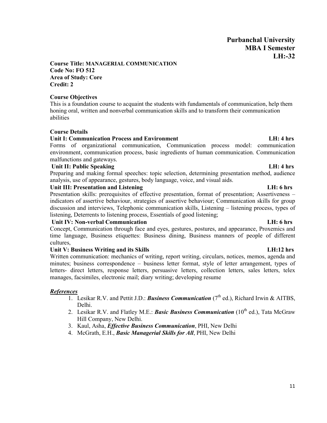### **Course Title: MANAGERIAL COMMUNICATION Code No: FO 512 Area of Study: Core Credit: 2**

### **Course Objectives**

This is a foundation course to acquaint the students with fundamentals of communication, help them honing oral, written and nonverbal communication skills and to transform their communication abilities

### **Course Details**

## Unit I: Communication Process and Environment **LH: 1 and LH: 4 hrs** LH: 4 hrs

Forms of organizational communication, Communication process model: communication environment, communication process, basic ingredients of human communication. Communication malfunctions and gateways.

### Unit II: Public Speaking **LH: 4** hrs

Preparing and making formal speeches: topic selection, determining presentation method, audience analysis, use of appearance, gestures, body language, voice, and visual aids.

### Unit III: Presentation and Listening **LH**: 6 hrs

Presentation skills: prerequisites of effective presentation, format of presentation; Assertiveness – indicators of assertive behaviour, strategies of assertive behaviour; Communication skills for group discussion and interviews, Telephonic communication skills, Listening – listening process, types of listening, Deterrents to listening process, Essentials of good listening;

### **Unit IV: Non-verbal Communication LH: 6 hrs**

Concept, Communication through face and eyes, gestures, postures, and appearance, Proxemics and time language, Business etiquettes: Business dining, Business manners of people of different cultures,

### **Unit V: Business Writing and its Skills LH:12 hrs**

Written communication: mechanics of writing, report writing, circulars, notices, memos, agenda and minutes; business correspondence – business letter format, style of letter arrangement, types of letters- direct letters, response letters, persuasive letters, collection letters, sales letters, telex manages, facsimiles, electronic mail; diary writing; developing resume

### *References*

- 1. Lesikar R.V. and Pettit J.D.: **Business Communication**  $(7<sup>th</sup>$  ed.), Richard Irwin & AITBS, Delhi.
- 2. Lesikar R.V. and Flatley M.E.: *Basic Business Communication* (10<sup>th</sup> ed.), Tata McGraw Hill Company, New Delhi.
- 3. Kaul, Asha, *Effective Business Communication*, PHI, New Delhi
- 4. McGrath, E.H., *Basic Managerial Skills for All*, PHI, New Delhi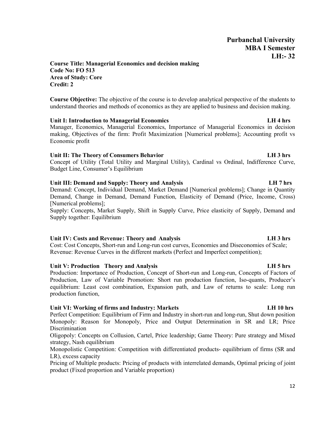### **Course Title: Managerial Economics and decision making Code No: FO 513 Area of Study: Core Credit: 2**

**Course Objective:** The objective of the course is to develop analytical perspective of the students to understand theories and methods of economics as they are applied to business and decision making.

#### **Unit I: Introduction to Managerial Economics LH 4 hrs**

Manager, Economics, Managerial Economics, Importance of Managerial Economics in decision making, Objectives of the firm: Profit Maximization [Numerical problems]; Accounting profit vs Economic profit

#### **Unit II: The Theory of Consumers Behavior LH 3 hrs**

Concept of Utility (Total Utility and Marginal Utility), Cardinal vs Ordinal, Indifference Curve, Budget Line, Consumer's Equilibrium

#### **Unit III: Demand and Supply: Theory and Analysis LH 7 hrs**

Demand: Concept, Individual Demand, Market Demand [Numerical problems]; Change in Quantity Demand, Change in Demand, Demand Function, Elasticity of Demand (Price, Income, Cross) [Numerical problems];

Supply: Concepts, Market Supply, Shift in Supply Curve, Price elasticity of Supply, Demand and Supply together: Equilibrium

### **Unit IV: Costs and Revenue: Theory and Analysis LH 3 hrs**

Cost: Cost Concepts, Short-run and Long-run cost curves, Economies and Diseconomies of Scale; Revenue: Revenue Curves in the different markets (Perfect and Imperfect competition);

#### **Unit V: Production Theory and Analysis LH 5 hrs**

Production: Importance of Production, Concept of Short-run and Long-run, Concepts of Factors of Production, Law of Variable Promotion: Short run production function, Iso-quants, Producer's equilibrium: Least cost combination, Expansion path, and Law of returns to scale: Long run production function,

#### **Unit VI: Working of firms and Industry: Markets LH 10 hrs**

Perfect Competition: Equilibrium of Firm and Industry in short-run and long-run, Shut down position Monopoly: Reason for Monopoly, Price and Output Determination in SR and LR; Price Discrimination

Oligopoly: Concepts on Collusion, Cartel, Price leadership; Game Theory: Pure strategy and Mixed strategy, Nash equilibrium

Monopolistic Competition: Competition with differentiated products- equilibrium of firms (SR and LR), excess capacity

Pricing of Multiple products: Pricing of products with interrelated demands, Optimal pricing of joint product (Fixed proportion and Variable proportion)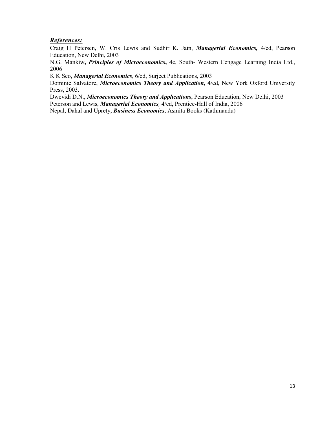### *References:*

Craig H Petersen, W. Cris Lewis and Sudhir K. Jain, *Managerial Economics,* 4/ed, Pearson Education, New Delhi, 2003

N.G. Mankiw**,** *Principles of Microeconomics***,** 4e, South- Western Cengage Learning India Ltd., 2006

K K Seo, *Managerial Economics*, 6/ed, Surjeet Publications, 2003

Dominic Salvatore, *Microeconomics Theory and Application*, 4/ed, New York Oxford University Press, 2003.

Dwevidi D.N., *Microeconomics Theory and Applications*, Pearson Education, New Delhi, 2003 Peterson and Lewis, *Managerial Economics,* 4/ed, Prentice-Hall of India, 2006

Nepal, Dahal and Uprety, *Business Economics*, Asmita Books (Kathmandu)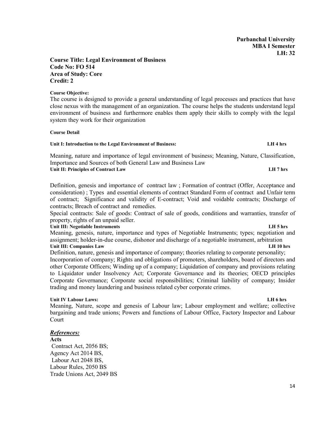#### **Course Title: Legal Environment of Business Code No: FO 514 Area of Study: Core Credit: 2**

#### **Course Objective:**

The course is designed to provide a general understanding of legal processes and practices that have close nexus with the management of an organization. The course helps the students understand legal environment of business and furthermore enables them apply their skills to comply with the legal system they work for their organization

#### **Course Detail**

#### **Unit I: Introduction to the Legal Environment of Business: LH 4 hrs**

Meaning, nature and importance of legal environment of business; Meaning, Nature, Classification, Importance and Sources of both General Law and Business Law **Unit II: Principles of Contract Law LH 7 hrs**

Definition, genesis and importance of contract law ; Formation of contract (Offer, Acceptance and consideration) ; Types and essential elements of contract Standard Form of contract and Unfair term of contract; Significance and validity of E-contract; Void and voidable contracts; Discharge of contracts; Breach of contract and remedies.

Special contracts: Sale of goods: Contract of sale of goods, conditions and warranties, transfer of property, rights of an unpaid seller.

#### **Unit III: Negotiable Instruments LH 5 hrs**

Meaning, genesis, nature, importance and types of Negotiable Instruments; types; negotiation and assignment; holder-in-due course, dishonor and discharge of a negotiable instrument, arbitration **Unit III: Companies Law LH 10 hrs**

Definition, nature, genesis and importance of company; theories relating to corporate personality; Incorporation of company; Rights and obligations of promoters, shareholders, board of directors and other Corporate Officers; Winding up of a company; Liquidation of company and provisions relating to Liquidator under Insolvency Act; Corporate Governance and its theories; OECD principles Corporate Governance; Corporate social responsibilities; Criminal liability of company; Insider trading and money laundering and business related cyber corporate crimes.

#### **Unit IV Labour Laws: LH 6 hrs**

Meaning, Nature, scope and genesis of Labour law; Labour employment and welfare; collective bargaining and trade unions; Powers and functions of Labour Office, Factory Inspector and Labour Court

#### *References:*

**Acts** Contract Act, 2056 BS; Agency Act 2014 BS, Labour Act 2048 BS, Labour Rules, 2050 BS Trade Unions Act, 2049 BS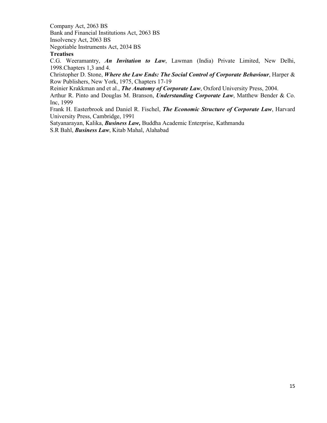Company Act, 2063 BS Bank and Financial Institutions Act, 2063 BS Insolvency Act, 2063 BS Negotiable Instruments Act, 2034 BS

#### **Treatises**

C.G. Weeramantry, *An Invitation to Law*, Lawman (India) Private Limited, New Delhi, 1998.Chapters 1,3 and 4.

Christopher D. Stone, *Where the Law Ends: The Social Control of Corporate Behaviour*, Harper & Row Publishers, New York, 1975, Chapters 17-19

Reinier Krakkman and et al., *The Anatomy of Corporate Law*, Oxford University Press, 2004.

Arthur R. Pinto and Douglas M. Branson, *Understanding Corporate Law*, Matthew Bender & Co. Inc, 1999

Frank H. Easterbrook and Daniel R. Fischel, *The Economic Structure of Corporate Law*, Harvard University Press, Cambridge, 1991

Satyanarayan, Kalika, *Business Law,* Buddha Academic Enterprise, Kathmandu S.R Bahl, *Business Law*, Kitab Mahal, Alahabad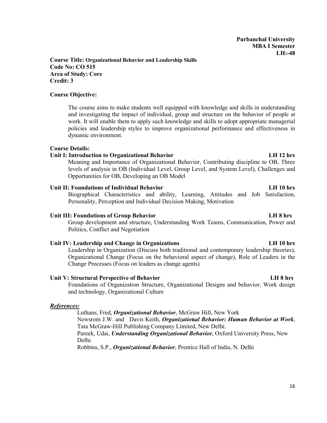**Course Title: Organizational Behavior and Leadership Skills Code No: CO 515 Area of Study: Core Credit: 3**

#### **Course Objective:**

The course aims to make students well equipped with knowledge and skills in understanding and investigating the impact of individual, group and structure on the behavior of people at work. It will enable them to apply such knowledge and skills to adopt appropriate managerial policies and leadership styles to improve organizational performance and effectiveness in dynamic environment.

#### **Course Details:**

#### **Unit I: Introduction to Organizational Behavior LH 12 hrs**

Meaning and Importance of Organizational Behavior, Contributing discipline to OB, Three levels of analysis in OB (Individual Level, Group Level, and System Level), Challenges and Opportunities for OB, Developing an OB Model

#### **Unit II: Foundations of Individual Behavior LH 10 hrs**

Biographical Characteristics and ability, Learning, Attitudes and Job Satisfaction, Personality, Perception and Individual Decision Making, Motivation

#### **Unit III: Foundations of Group Behavior LH 8 hrs**

Group development and structure, Understanding Work Teams, Communication, Power and Politics, Conflict and Negotiation

#### **Unit IV: Leadership and Change in Organizations LH 10 hrs**

Leadership in Organization (Discuss both traditional and contemporary leadership theories), Organizational Change (Focus on the behavioral aspect of change), Role of Leaders in the Change Processes (Focus on leaders as change agents)

#### **Unit V: Structural Perspective of Behavior LH 8 hrs**

Foundations of Organization Structure, Organizational Designs and behavior, Work design and technology, Organizational Culture

#### *References:*

Luthans, Fred, *Organizational Behavior*, McGraw Hill, New York Newsrom J.W. and Davis Keith, *Organizatio***n***al Behavior: Human Behavior at Work*, Tata McGraw-Hill Publishing Company Limited, New Delhi. Pareek, Udai, *Understanding Organizational Behavior*, Oxford University Press, New Delhi.

Robbins, S.P., *Organizational Behavior*, Prentice Hall of India, N. Delhi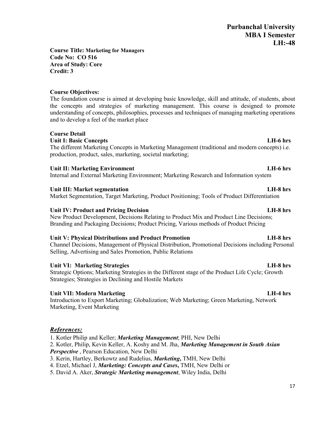#### **Course Title: Marketing for Managers Code No: CO 516 Area of Study: Core Credit: 3**

## **Course Objectives:**

The foundation course is aimed at developing basic knowledge, skill and attitude, of students, about the concepts and strategies of marketing management. This course is designed to promote understanding of concepts, philosophies, processes and techniques of managing marketing operations and to develop a feel of the market place

### **Course Detail**

### **Unit I: Basic Concepts LH-6 hrs**

The different Marketing Concepts in Marketing Management (traditional and modern concepts) i.e. production, product, sales, marketing, societal marketing;

### **Unit II: Marketing Environment LH-6 hrs**

Internal and External Marketing Environment; Marketing Research and Information system

#### **Unit III: Market segmentation LH-8 hrs**

Market Segmentation, Target Marketing, Product Positioning; Tools of Product Differentiation

#### **Unit IV: Product and Pricing Decision LH-8 hrs**

New Product Development, Decisions Relating to Product Mix and Product Line Decisions; Branding and Packaging Decisions; Product Pricing, Various methods of Product Pricing

### **Unit V: Physical Distributions and Product Promotion LH-8 hrs**

Channel Decisions, Management of Physical Distribution, Promotional Decisions including Personal Selling, Advertising and Sales Promotion, Public Relations

### **Unit VI: Marketing Strategies LH-8 hrs**

Strategic Options; Marketing Strategies in the Different stage of the Product Life Cycle; Growth Strategies; Strategies in Declining and Hostile Markets

### **Unit VII: Modern Marketing LH-4 hrs**

Introduction to Export Marketing; Globalization; Web Marketing; Green Marketing, Network Marketing, Event Marketing

### *References:*

1. Kotler Philip and Keller; *Marketing Management*; PHI, New Delhi

- 2. Kotler, Philip, Kevin Keller, A. Koshy and M. Jha, *Marketing Management in South Asian*
- *Perspective* , Pearson Education, New Delhi
- 3. Kerin, Hartley, Berkowtz and Rudelius, *Marketing***,** TMH, New Delhi
- 4. Etzel, Michael J, *Marketing: Concepts and Cases***,** TMH, New Delhi or
- 5. David A. Aker, *Strategic Marketing management*, Wiley India, Delhi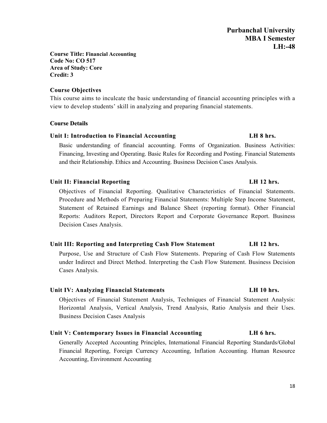**Course Title: Financial Accounting Code No: CO 517 Area of Study: Core Credit: 3**

#### **Course Objectives**

This course aims to inculcate the basic understanding of financial accounting principles with a view to develop students' skill in analyzing and preparing financial statements.

#### **Course Details**

### **Unit I: Introduction to Financial Accounting LH 8 hrs.**

Basic understanding of financial accounting. Forms of Organization. Business Activities: Financing, Investing and Operating. Basic Rules for Recording and Posting. Financial Statements and their Relationship. Ethics and Accounting. Business Decision Cases Analysis.

#### **Unit II: Financial Reporting LH 12 hrs.**

Objectives of Financial Reporting. Qualitative Characteristics of Financial Statements. Procedure and Methods of Preparing Financial Statements: Multiple Step Income Statement, Statement of Retained Earnings and Balance Sheet (reporting format). Other Financial Reports: Auditors Report, Directors Report and Corporate Governance Report. Business Decision Cases Analysis.

#### **Unit III: Reporting and Interpreting Cash Flow Statement LH 12 hrs.**

Purpose, Use and Structure of Cash Flow Statements. Preparing of Cash Flow Statements under Indirect and Direct Method. Interpreting the Cash Flow Statement. Business Decision Cases Analysis.

#### **Unit IV: Analyzing Financial Statements LH 10 hrs.**

Objectives of Financial Statement Analysis, Techniques of Financial Statement Analysis: Horizontal Analysis, Vertical Analysis, Trend Analysis, Ratio Analysis and their Uses. Business Decision Cases Analysis

### **Unit V: Contemporary Issues in Financial Accounting LH 6 hrs.**

Generally Accepted Accounting Principles, International Financial Reporting Standards/Global Financial Reporting, Foreign Currency Accounting, Inflation Accounting. Human Resource Accounting, Environment Accounting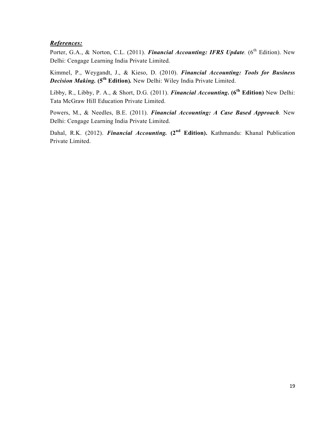### *References:*

Porter, G.A., & Norton, C.L. (2011). *Financial Accounting: IFRS Update.* (6<sup>th</sup> Edition). New Delhi: Cengage Learning India Private Limited.

Kimmel, P., Weygandt, J., & Kieso, D. (2010). *Financial Accounting: Tools for Business Decision Making.* **(5th Edition)***.* New Delhi: Wiley India Private Limited.

Libby, R., Libby, P. A., & Short, D.G. (2011). *Financial Accounting***. (6th Edition)** New Delhi: Tata McGraw Hill Education Private Limited.

Powers, M., & Needles, B.E. (2011). *Financial Accounting: A Case Based Approach.* New Delhi: Cengage Learning India Private Limited.

Dahal, R.K. (2012). *Financial Accounting.* **(2nd Edition).** Kathmandu: Khanal Publication Private Limited.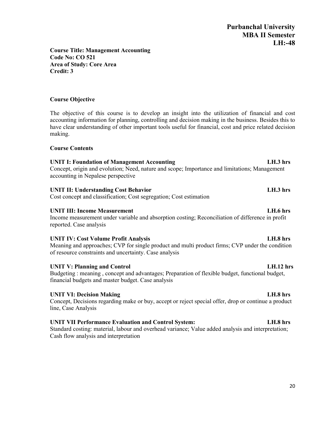**Course Title: Management Accounting Code No: CO 521 Area of Study: Core Area Credit: 3**

## **Course Objective**

The objective of this course is to develop an insight into the utilization of financial and cost accounting information for planning, controlling and decision making in the business. Besides this to have clear understanding of other important tools useful for financial, cost and price related decision making.

## **Course Contents**

## **UNIT I: Foundation of Management Accounting LH.3 hrs**

Concept, origin and evolution; Need, nature and scope; Importance and limitations; Management accounting in Nepalese perspective

## **UNIT II: Understanding Cost Behavior LH.3 hrs**

Cost concept and classification; Cost segregation; Cost estimation

## **UNIT III: Income Measurement LH.6 hrs**

Income measurement under variable and absorption costing; Reconciliation of difference in profit reported. Case analysis

## **UNIT IV: Cost Volume Profit Analysis LH.8 hrs**

Meaning and approaches; CVP for single product and multi product firms; CVP under the condition of resource constraints and uncertainty. Case analysis

## UNIT V: Planning and Control LH.12 hrs

Budgeting : meaning , concept and advantages; Preparation of flexible budget, functional budget, financial budgets and master budget. Case analysis

## **UNIT VI: Decision Making LH.8 hrs**

Concept, Decisions regarding make or buy, accept or reject special offer, drop or continue a product line, Case Analysis

## **UNIT VII Performance Evaluation and Control System: LH.8 hrs**

Standard costing: material, labour and overhead variance; Value added analysis and interpretation; Cash flow analysis and interpretation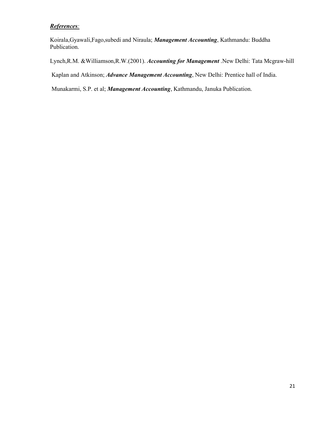### *References:*

Koirala,Gyawali,Fago,subedi and Niraula; *Management Accounting*, Kathmandu: Buddha Publication.

Lynch,R.M. &Williamson,R.W.(2001). *Accounting for Management* .New Delhi: Tata Mcgraw-hill

Kaplan and Atkinson; *Advance Management Accounting*, New Delhi: Prentice hall of India.

Munakarmi, S.P. et al; *Management Accounting*, Kathmandu, Januka Publication.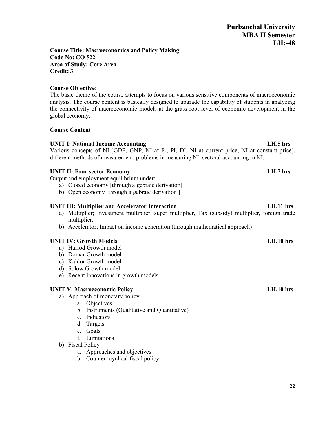#### **Course Title: Macroeconomics and Policy Making Code No: CO 522 Area of Study: Core Area Credit: 3**

#### **Course Objective:**

The basic theme of the course attempts to focus on various sensitive components of macroeconomic analysis. The course content is basically designed to upgrade the capability of students in analyzing the connectivity of macroeconomic models at the grass root level of economic development in the global economy.

#### **Course Content**

#### **UNIT I: National Income Accounting LH.5 hrs**

Various concepts of NI  $[GDP, GNP, NI$  at  $F_c$ , PI, DI, NI at current price, NI at constant price], different methods of measurement, problems in measuring NI, sectoral accounting in NI,

#### **UNIT II: Four sector Economy LH.7 hrs**

Output and employment equilibrium under:

- a) Closed economy [through algebraic derivation]
- b) Open economy [through algebraic derivation ]

#### **UNIT III: Multiplier and Accelerator Interaction LH.11 hrs**

- a) Multiplier; Investment multiplier, super multiplier, Tax (subsidy) multiplier, foreign trade multiplier.
- b) Accelerator; Impact on income generation (through mathematical approach)

### **UNIT IV: Growth Models LH.10 hrs**

- a) Harrod Growth model
- b) Domar Growth model
- c) Kaldor Growth model
- d) Solow Growth model
- e) Recent innovations in growth models

#### **UNIT V: Macroeconomic Policy LH.10 hrs**

- a) Approach of monetary policy
	- a. Objectives
	- b. Instruments (Qualitative and Quantitative)
	- c. Indicators
	- d. Targets
	- e. Goals
	- f. Limitations
- b) Fiscal Policy
	- a. Approaches and objectives
	- b. Counter -cyclical fiscal policy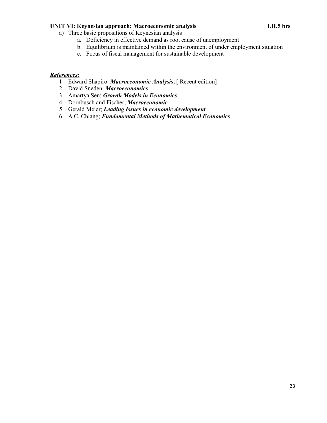#### **UNIT VI: Keynesian approach: Macroeconomic analysis LH.5 hrs**

- a) Three basic propositions of Keynesian analysis
	- a. Deficiency in effective demand as root cause of unemployment
	- b. Equilibrium is maintained within the environment of under employment situation
	- c. Focus of fiscal management for sustainable development

#### *References:*

- 1 Edward Shapiro: *Macroeconomic Analysis*, [ Recent edition]
- 2 David Sneden: *Macroeconomics*
- 3 Amartya Sen; *Growth Models in Economics*
- 4 Dornbusch and Fischer; *Macroeconomic*
- *5* Gerald Meier; *Leading Issues in economic development*
- 6 A.C. Chiang; *Fundamental Methods of Mathematical Economics*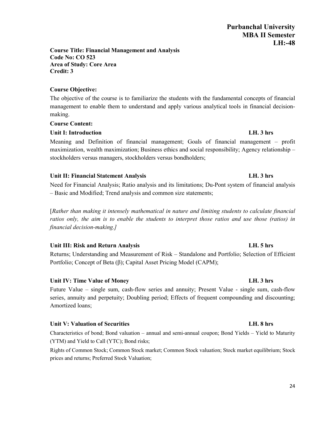#### **Course Title: Financial Management and Analysis Code No: CO 523 Area of Study: Core Area Credit: 3**

## **Course Objective:**

The objective of the course is to familiarize the students with the fundamental concepts of financial management to enable them to understand and apply various analytical tools in financial decisionmaking.

## **Course Content:**

## **Unit I: Introduction LH. 3 hrs**

Meaning and Definition of financial management; Goals of financial management – profit maximization, wealth maximization; Business ethics and social responsibility; Agency relationship – stockholders versus managers, stockholders versus bondholders;

## **Unit II: Financial Statement Analysis LH. 3 hrs**

Need for Financial Analysis; Ratio analysis and its limitations; Du-Pont system of financial analysis – Basic and Modified; Trend analysis and common size statements;

[*Rather than making it intensely mathematical in nature and limiting students to calculate financial ratios only, the aim is to enable the students to interpret those ratios and use those (ratios) in financial decision-making.]*

## **Unit III: Risk and Return Analysis LH. 5 hrs**

Returns; Understanding and Measurement of Risk – Standalone and Portfolio; Selection of Efficient Portfolio; Concept of Beta (β); Capital Asset Pricing Model (CAPM);

## **Unit IV: Time Value of Money LH. 3 hrs**

Future Value – single sum, cash-flow series and annuity; Present Value - single sum, cash-flow series, annuity and perpetuity; Doubling period; Effects of frequent compounding and discounting; Amortized loans;

## **Unit V: Valuation of Securities LH. 8 hrs**

Characteristics of bond; Bond valuation – annual and semi-annual coupon; Bond Yields – Yield to Maturity (YTM) and Yield to Call (YTC); Bond risks;

Rights of Common Stock; Common Stock market; Common Stock valuation; Stock market equilibrium; Stock prices and returns; Preferred Stock Valuation;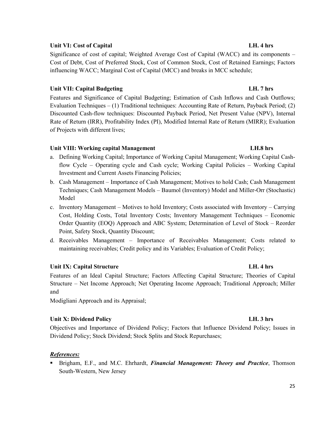### 25

### **Unit VI: Cost of Capital LH. 4 hrs**

Significance of cost of capital; Weighted Average Cost of Capital (WACC) and its components – Cost of Debt, Cost of Preferred Stock, Cost of Common Stock, Cost of Retained Earnings; Factors influencing WACC; Marginal Cost of Capital (MCC) and breaks in MCC schedule;

## **Unit VII: Capital Budgeting LH. 7 hrs**

Features and Significance of Capital Budgeting; Estimation of Cash Inflows and Cash Outflows; Evaluation Techniques – (1) Traditional techniques: Accounting Rate of Return, Payback Period; (2) Discounted Cash-flow techniques: Discounted Payback Period, Net Present Value (NPV), Internal Rate of Return (IRR), Profitability Index (PI), Modified Internal Rate of Return (MIRR); Evaluation of Projects with different lives;

## **Unit VIII: Working capital Management LH.8 hrs**

- a. Defining Working Capital; Importance of Working Capital Management; Working Capital Cashflow Cycle – Operating cycle and Cash cycle; Working Capital Policies – Working Capital Investment and Current Assets Financing Policies;
- b. Cash Management Importance of Cash Management; Motives to hold Cash; Cash Management Techniques; Cash Management Models – Baumol (Inventory) Model and Miller-Orr (Stochastic) Model
- c. Inventory Management Motives to hold Inventory; Costs associated with Inventory Carrying Cost, Holding Costs, Total Inventory Costs; Inventory Management Techniques – Economic Order Quantity (EOQ) Approach and ABC System; Determination of Level of Stock – Reorder Point, Safety Stock, Quantity Discount;
- d. Receivables Management Importance of Receivables Management; Costs related to maintaining receivables; Credit policy and its Variables; Evaluation of Credit Policy;

## **Unit IX: Capital Structure LH. 4 hrs**

Features of an Ideal Capital Structure; Factors Affecting Capital Structure; Theories of Capital Structure – Net Income Approach; Net Operating Income Approach; Traditional Approach; Miller and

Modigliani Approach and its Appraisal;

## **Unit X: Dividend Policy LH. 3 hrs**

Objectives and Importance of Dividend Policy; Factors that Influence Dividend Policy; Issues in Dividend Policy; Stock Dividend; Stock Splits and Stock Repurchases;

## *References:*

 Brigham, E.F., and M.C. Ehrhardt, *Financial Management: Theory and Practice*, Thomson South-Western, New Jersey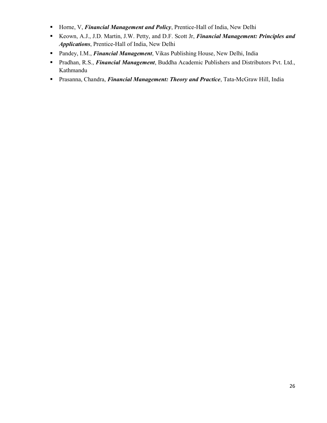- **Horne, V,** *Financial Management and Policy*, Prentice-Hall of India, New Delhi
- Keown, A.J., J.D. Martin, J.W. Petty, and D.F. Scott Jr, *Financial Management: Principles and Applications*, Prentice-Hall of India, New Delhi
- Pandey, I.M., *Financial Management*, Vikas Publishing House, New Delhi, India
- Pradhan, R.S., *Financial Management*, Buddha Academic Publishers and Distributors Pvt. Ltd., Kathmandu
- Prasanna, Chandra, *Financial Management: Theory and Practice*, Tata-McGraw Hill, India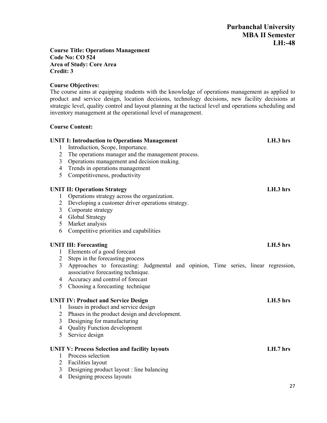#### **Course Title: Operations Management Code No: CO 524 Area of Study: Core Area Credit: 3**

### **Course Objectives:**

The course aims at equipping students with the knowledge of operations management as applied to product and service design, location decisions, technology decisions, new facility decisions at strategic level, quality control and layout planning at the tactical level and operations scheduling and inventory management at the operational level of management.

#### **Course Content:**

|                | <b>UNIT I: Introduction to Operations Management</b>                               | LH.3 hrs |
|----------------|------------------------------------------------------------------------------------|----------|
| 1              | Introduction, Scope, Importance.                                                   |          |
| $\overline{2}$ | The operations manager and the management process.                                 |          |
| $\overline{3}$ | Operations management and decision making.                                         |          |
| $\overline{4}$ | Trends in operations management                                                    |          |
| 5              | Competitiveness, productivity                                                      |          |
|                | <b>UNIT II: Operations Strategy</b>                                                | LH.3 hrs |
| $\mathbf{1}$   | Operations strategy across the organization.                                       |          |
| $\overline{2}$ | Developing a customer driver operations strategy.                                  |          |
| $\overline{3}$ | Corporate strategy                                                                 |          |
| $\overline{4}$ | Global Strategy                                                                    |          |
| 5              | Market analysis                                                                    |          |
| 6              | Competitive priorities and capabilities                                            |          |
|                | <b>UNIT III: Forecasting</b>                                                       | LH.5 hrs |
| $\mathbf{1}$   | Elements of a good forecast                                                        |          |
| $\overline{2}$ | Steps in the forecasting process                                                   |          |
| $\overline{3}$ | Approaches to forecasting: Judgmental and opinion, Time series, linear regression, |          |
|                | associative forecasting technique.                                                 |          |
| 4              | Accuracy and control of forecast                                                   |          |
| 5              | Choosing a forecasting technique                                                   |          |
|                | <b>UNIT IV: Product and Service Design</b>                                         | LH.5 hrs |
| $\mathbf{1}$   | Issues in product and service design                                               |          |
| $\overline{2}$ | Phases in the product design and development.                                      |          |
| $\mathfrak{Z}$ | Designing for manufacturing                                                        |          |
| $\overline{4}$ | <b>Quality Function development</b>                                                |          |
| 5              | Service design                                                                     |          |
|                |                                                                                    |          |
|                | <b>UNIT V: Process Selection and facility layouts</b>                              | LH.7 hrs |
| 1              | Process selection                                                                  |          |
| $\overline{2}$ | Facilities layout                                                                  |          |
| 3              | Designing product layout : line balancing                                          |          |
| $\overline{4}$ | Designing process layouts                                                          |          |
|                |                                                                                    | 27       |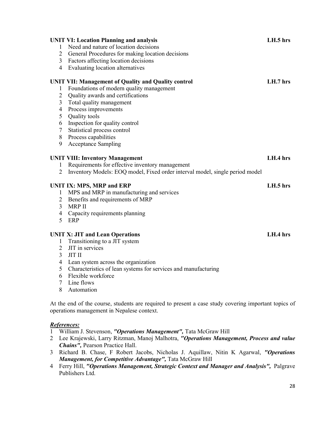|                | <b>UNIT VI: Location Planning and analysis</b>                                                       | LH.5 hrs |
|----------------|------------------------------------------------------------------------------------------------------|----------|
| 1              | Need and nature of location decisions                                                                |          |
| $\overline{2}$ | General Procedures for making location decisions                                                     |          |
| $\overline{3}$ | Factors affecting location decisions                                                                 |          |
| $\overline{4}$ | Evaluating location alternatives                                                                     |          |
|                | <b>UNIT VII: Management of Quality and Quality control</b>                                           | LH.7 hrs |
| 1              | Foundations of modern quality management                                                             |          |
| $\overline{2}$ | Quality awards and certifications                                                                    |          |
| 3              | Total quality management                                                                             |          |
| $\overline{4}$ | Process improvements                                                                                 |          |
| 5              | Quality tools                                                                                        |          |
| 6              | Inspection for quality control                                                                       |          |
| $\tau$         | Statistical process control                                                                          |          |
| 8              | Process capabilities                                                                                 |          |
| 9              | <b>Acceptance Sampling</b>                                                                           |          |
|                | <b>UNIT VIII: Inventory Management</b>                                                               | LH.4 hrs |
| $\mathbf{1}$   | Requirements for effective inventory management                                                      |          |
| $\overline{2}$ | Inventory Models: EOQ model, Fixed order interval model, single period model                         |          |
|                | <b>UNIT IX: MPS, MRP and ERP</b>                                                                     | LH.5 hrs |
| $\mathbf{1}$   | MPS and MRP in manufacturing and services                                                            |          |
| $\overline{2}$ | Benefits and requirements of MRP                                                                     |          |
| 3              | <b>MRP II</b>                                                                                        |          |
| $\overline{4}$ | Capacity requirements planning                                                                       |          |
| 5              | ERP                                                                                                  |          |
|                | <b>UNIT X: JIT and Lean Operations</b>                                                               | LH.4 hrs |
| $\mathbf{1}$   | Transitioning to a JIT system                                                                        |          |
| $\overline{2}$ | JIT in services                                                                                      |          |
| 3              | <b>JIT II</b>                                                                                        |          |
| $\overline{4}$ | Lean system across the organization                                                                  |          |
| 5              | Characteristics of lean systems for services and manufacturing                                       |          |
| 6              | Flexible workforce                                                                                   |          |
| $\tau$         | Line flows                                                                                           |          |
| 8              | Automation                                                                                           |          |
|                | At the end of the course, students are required to present a case study covering important topics of |          |

### *References:*

William J. Stevenson, *"Operations Management",* Tata McGraw Hill

operations management in Nepalese context.

- Lee Krajewski, Larry Ritzman, Manoj Malhotra, *"Operations Management, Process and value Chains",* Pearson Practice Hall.
- Richard B. Chase, F Robert Jacobs, Nicholas J. Aquillaw, Nitin K Agarwal, *"Operations Management, for Competitive Advantage",* Tata McGraw Hill
- Ferry Hill, *"Operations Management, Strategic Context and Manager and Analysis",* Palgrave Publishers Ltd.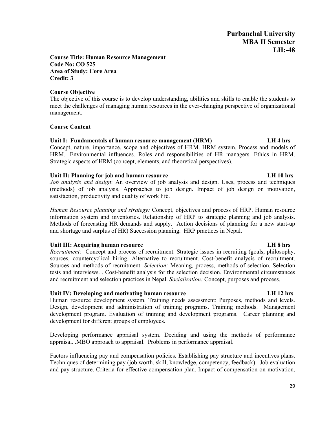#### **Course Title: Human Resource Management Code No: CO 525 Area of Study: Core Area Credit: 3**

#### **Course Objective**

The objective of this course is to develop understanding, abilities and skills to enable the students to meet the challenges of managing human resources in the ever-changing perspective of organizational management.

#### **Course Content**

#### **Unit I: Fundamentals of human resource management (HRM) LH 4 hrs**

Concept, nature, importance, scope and objectives of HRM. HRM system. Process and models of HRM.. Environmental influences. Roles and responsibilities of HR managers. Ethics in HRM. Strategic aspects of HRM (concept, elements, and theoretical perspectives).

#### **Unit II: Planning for job and human resource LH 10 hrs**

*Job analysis and design*: An overview of job analysis and design. Uses, process and techniques (methods) of job analysis. Approaches to job design. Impact of job design on motivation, satisfaction, productivity and quality of work life.

*Human Resource planning and strategy:* Concept, objectives and process of HRP. Human resource information system and inventories. Relationship of HRP to strategic planning and job analysis. Methods of forecasting HR demands and supply. Action decisions of planning for a new start-up and shortage and surplus of HR) Succession planning. HRP practices in Nepal.

### **Unit III: Acquiring human resource LH 8 hrs**

*Recruitment:* Concept and process of recruitment. Strategic issues in recruiting (goals, philosophy, sources, countercyclical hiring. Alternative to recruitment. Cost-benefit analysis of recruitment. Sources and methods of recruitment. *Selection:* Meaning, process, methods of selection. Selection tests and interviews. . Cost-benefit analysis for the selection decision. Environmental circumstances and recruitment and selection practices in Nepal. *Socialization:* Concept, purposes and process.

#### **Unit IV: Developing and motivating human resource LH 12 hrs**

Human resource development system. Training needs assessment: Purposes, methods and levels. Design, development and administration of training programs. Training methods. Management development program. Evaluation of training and development programs. Career planning and development for different groups of employees.

Developing performance appraisal system. Deciding and using the methods of performance appraisal. .MBO approach to appraisal. Problems in performance appraisal.

Factors influencing pay and compensation policies. Establishing pay structure and incentives plans. Techniques of determining pay (job worth, skill, knowledge, competency, feedback). Job evaluation and pay structure. Criteria for effective compensation plan. Impact of compensation on motivation,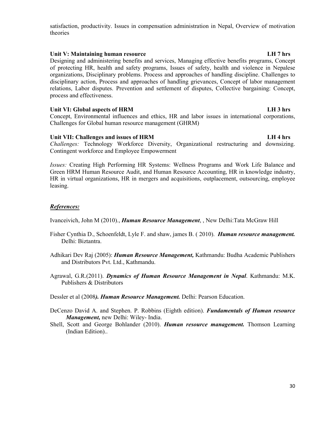#### satisfaction, productivity. Issues in compensation administration in Nepal, Overview of motivation theories

### **Unit V: Maintaining human resource LH 7 hrs**

Designing and administering benefits and services, Managing effective benefits programs, Concept of protecting HR, health and safety programs, Issues of safety, health and violence in Nepalese organizations, Disciplinary problems. Process and approaches of handling discipline. Challenges to disciplinary action, Process and approaches of handling grievances, Concept of labor management relations, Labor disputes. Prevention and settlement of disputes, Collective bargaining: Concept, process and effectiveness.

#### Unit VI: Global aspects of HRM **LH** 3 hrs

Concept, Environmental influences and ethics, HR and labor issues in international corporations, Challenges for Global human resource management (GHRM)

### Unit VII: Challenges and issues of HRM **Let us a set of the UK and Allen**tic LH 4 hrs

*Challenges:* Technology Workforce Diversity, Organizational restructuring and downsizing. Contingent workforce and Employee Empowerment

*Issues:* Creating High Performing HR Systems: Wellness Programs and Work Life Balance and Green HRM Human Resource Audit, and Human Resource Accounting, HR in knowledge industry, HR in virtual organizations, HR in mergers and acquisitions, outplacement, outsourcing, employee leasing.

### *References:*

Ivanceivich, John M (2010)., *Human Resource Management*, , New Delhi:Tata McGraw Hill

- Fisher Cynthia D., Schoenfeldt, Lyle F. and shaw, james B. ( 2010). *Human resource management.* Delhi: Biztantra.
- Adhikari Dev Raj (2005): *Human Resource Management,* Kathmandu: Budha Academic Publishers and Distributors Pvt. Ltd., Kathmandu.
- Agrawal, G.R.(2011). *Dynamics of Human Resource Management in Nepal*. Kathmandu: M.K. Publishers & Distributors

Dessler et al (2008*). Human Resource Management.* Delhi: Pearson Education.

- DeCenzo David A. and Stephen. P. Robbins (Eighth edition). *Fundamentals of Human resource Management,* new Delhi: Wiley- India.
- Shell, Scott and George Bohlander (2010). *Human resource management.* Thomson Learning (Indian Edition)..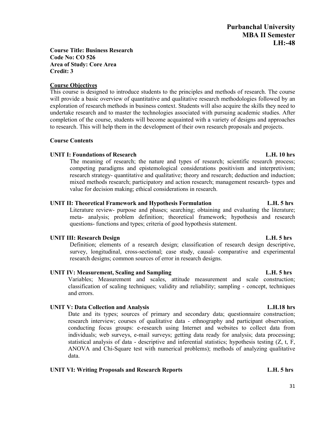### **Course Title: Business Research Code No: CO 526 Area of Study: Core Area Credit: 3**

#### **Course Objectives**

This course is designed to introduce students to the principles and methods of research. The course will provide a basic overview of quantitative and qualitative research methodologies followed by an exploration of research methods in business context. Students will also acquire the skills they need to undertake research and to master the technologies associated with pursuing academic studies. After completion of the course, students will become acquainted with a variety of designs and approaches to research. This will help them in the development of their own research proposals and projects.

#### **Course Contents**

#### **UNIT I: Foundations of Research L.H. 10 hrs**

The meaning of research; the nature and types of research; scientific research process; competing paradigms and epistemological considerations positivism and interpretivism; research strategy- quantitative and qualitative; theory and research; deduction and induction; mixed methods research; participatory and action research; management research- types and value for decision making; ethical considerations in research.

### **UNIT II: Theoretical Framework and Hypothesis Formulation L.H. 5 hrs**

Literature review- purpose and phases; searching; obtaining and evaluating the literature; meta- analysis; problem definition; theoretical framework; hypothesis and research questions- functions and types; criteria of good hypothesis statement.

### **UNIT III: Research Design L.H. 5 hrs**

Definition; elements of a research design; classification of research design descriptive, survey, longitudinal, cross-sectional; case study, causal- comparative and experimental research designs; common sources of error in research designs.

### **UNIT IV: Measurement, Scaling and Sampling L.H. 5 hrs**

Variables; Measurement and scales, attitude measurement and scale construction; classification of scaling techniques; validity and reliability; sampling - concept, techniques and errors.

## **UNIT V: Data Collection and Analysis L.H.18 hrs**

Date and its types; sources of primary and secondary data; questionnaire construction; research interview; courses of qualitative data - ethnography and participant observation, conducting focus groups: e-research using Internet and websites to collect data from individuals; web surveys, e-mail surveys; getting data ready for analysis; data processing; statistical analysis of data - descriptive and inferential statistics; hypothesis testing (Z, t, F, ANOVA and Chi-Square test with numerical problems); methods of analyzing qualitative data.

### **UNIT VI: Writing Proposals and Research Reports L.H. 5 hrs**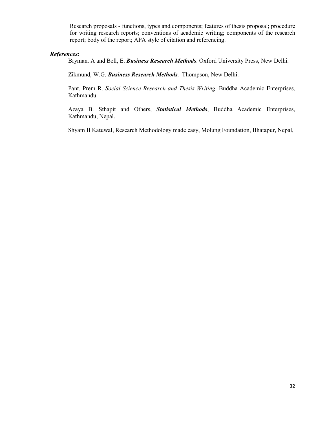Research proposals - functions, types and components; features of thesis proposal; procedure for writing research reports; conventions of academic writing; components of the research report; body of the report; APA style of citation and referencing.

#### *References:*

Bryman. A and Bell, E. *Business Research Methods*. Oxford University Press, New Delhi.

Zikmund, W.G. *Business Research Methods,* Thompson, New Delhi.

Pant, Prem R. *Social Science Research and Thesis Writing*. Buddha Academic Enterprises, Kathmandu.

Azaya B. Sthapit and Others, *Statistical Methods*, Buddha Academic Enterprises, Kathmandu, Nepal.

Shyam B Katuwal, Research Methodology made easy, Molung Foundation, Bhatapur, Nepal,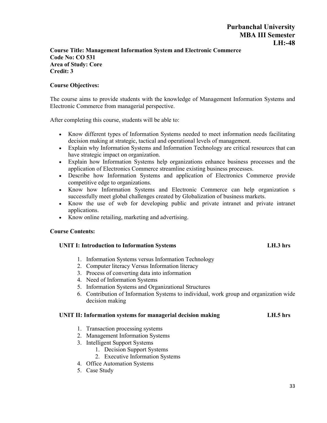#### **Course Title: Management Information System and Electronic Commerce Code No: CO 531 Area of Study: Core Credit: 3**

#### **Course Objectives:**

The course aims to provide students with the knowledge of Management Information Systems and Electronic Commerce from managerial perspective.

After completing this course, students will be able to:

- Know different types of Information Systems needed to meet information needs facilitating decision making at strategic, tactical and operational levels of management.
- Explain why Information Systems and Information Technology are critical resources that can have strategic impact on organization.
- Explain how Information Systems help organizations enhance business processes and the application of Electronics Commerce streamline existing business processes.
- Describe how Information Systems and application of Electronics Commerce provide competitive edge to organizations.
- Know how Information Systems and Electronic Commerce can help organization s successfully meet global challenges created by Globalization of business markets.
- Know the use of web for developing public and private intranet and private intranet applications.
- Know online retailing, marketing and advertising.

#### **Course Contents:**

#### **UNIT I: Introduction to Information Systems LH.3 hrs**

- 1. Information Systems versus Information Technology
- 2. Computer literacy Versus Information literacy
- 3. Process of converting data into information
- 4. Need of Information Systems
- 5. Information Systems and Organizational Structures
- 6. Contribution of Information Systems to individual, work group and organization wide decision making

#### **UNIT II: Information systems for managerial decision making LH.5 hrs**

- 1. Transaction processing systems
- 2. Management Information Systems
- 3. Intelligent Support Systems
	- 1. Decision Support Systems
	- 2. Executive Information Systems
- 4. Office Automation Systems
- 5. Case Study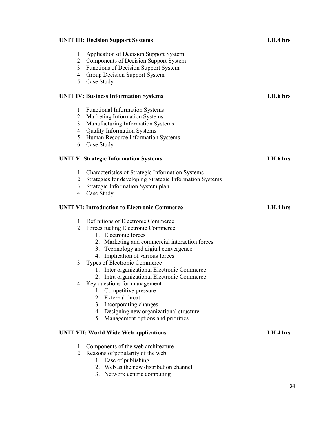| <b>UNIT III: Decision Support Systems</b>                                                                                                                                                                                                                                                                                                                                                                                                                                                                                                                                   | LH.4 hrs   |
|-----------------------------------------------------------------------------------------------------------------------------------------------------------------------------------------------------------------------------------------------------------------------------------------------------------------------------------------------------------------------------------------------------------------------------------------------------------------------------------------------------------------------------------------------------------------------------|------------|
| Application of Decision Support System<br>1.<br>2. Components of Decision Support System<br>3. Functions of Decision Support System<br>4. Group Decision Support System<br>5. Case Study                                                                                                                                                                                                                                                                                                                                                                                    |            |
| <b>UNIT IV: Business Information Systems</b>                                                                                                                                                                                                                                                                                                                                                                                                                                                                                                                                | LH.6 hrs   |
| 1. Functional Information Systems<br>2. Marketing Information Systems<br>3. Manufacturing Information Systems<br>4. Quality Information Systems<br>5. Human Resource Information Systems<br>6. Case Study                                                                                                                                                                                                                                                                                                                                                                   |            |
| <b>UNIT V: Strategic Information Systems</b>                                                                                                                                                                                                                                                                                                                                                                                                                                                                                                                                | LH.6 hrs   |
| 1. Characteristics of Strategic Information Systems<br>2. Strategies for developing Strategic Information Systems<br>3. Strategic Information System plan<br>4. Case Study                                                                                                                                                                                                                                                                                                                                                                                                  |            |
| <b>UNIT VI: Introduction to Electronic Commerce</b>                                                                                                                                                                                                                                                                                                                                                                                                                                                                                                                         | LH.4 hrs   |
| 1. Definitions of Electronic Commerce<br>2. Forces fueling Electronic Commerce<br>1. Electronic forces<br>2. Marketing and commercial interaction forces<br>3. Technology and digital convergence<br>4. Implication of various forces<br>3. Types of Electronic Commerce<br>1. Inter organizational Electronic Commerce<br>2. Intra organizational Electronic Commerce<br>4. Key questions for management<br>1. Competitive pressure<br>2. External threat<br>3. Incorporating changes<br>4. Designing new organizational structure<br>5. Management options and priorities |            |
| <b>UNIT VII: World Wide Web applications</b>                                                                                                                                                                                                                                                                                                                                                                                                                                                                                                                                | $LH.4$ hrs |
| 1. Components of the web architecture<br>2. Reasons of popularity of the web<br>1. Ease of publishing<br>2. Web as the new distribution channel                                                                                                                                                                                                                                                                                                                                                                                                                             |            |

3. Network centric computing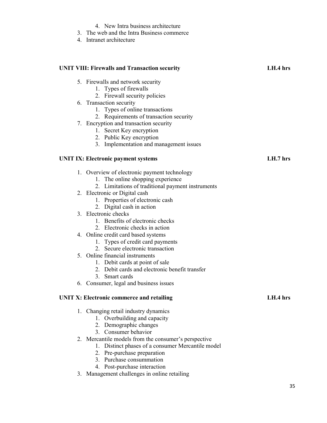## 4. New Intra business architecture

- 3. The web and the Intra Business commerce
- 4. Intranet architecture

| <b>UNIT VIII: Firewalls and Transaction security</b>   | LH.4 hrs |
|--------------------------------------------------------|----------|
| 5. Firewalls and network security                      |          |
| 1. Types of firewalls                                  |          |
| 2. Firewall security policies                          |          |
| 6. Transaction security                                |          |
| 1. Types of online transactions                        |          |
| 2. Requirements of transaction security                |          |
| 7. Encryption and transaction security                 |          |
| 1. Secret Key encryption                               |          |
| 2. Public Key encryption                               |          |
| 3. Implementation and management issues                |          |
| <b>UNIT IX: Electronic payment systems</b>             | LH.7 hrs |
| 1. Overview of electronic payment technology           |          |
| 1. The online shopping experience                      |          |
| 2. Limitations of traditional payment instruments      |          |
| 2. Electronic or Digital cash                          |          |
| 1. Properties of electronic cash                       |          |
| 2. Digital cash in action                              |          |
| 3. Electronic checks                                   |          |
| 1. Benefits of electronic checks                       |          |
| 2. Electronic checks in action                         |          |
| 4. Online credit card based systems                    |          |
| 1. Types of credit card payments                       |          |
| 2. Secure electronic transaction                       |          |
| 5. Online financial instruments                        |          |
| 1. Debit cards at point of sale                        |          |
| Debit cards and electronic benefit transfer<br>$2_{-}$ |          |
| Smart cards<br>3.                                      |          |
| 6. Consumer, legal and business issues                 |          |
| <b>UNIT X: Electronic commerce and retailing</b>       | LH.4 hrs |
| 1. Changing retail industry dynamics                   |          |
| 1. Overbuilding and capacity                           |          |
| 2. Demographic changes                                 |          |
| 3. Consumer behavior                                   |          |
| 2. Mercantile models from the consumer's perspective   |          |
| Distinct phases of a consumer Mercantile model<br>1.   |          |
| Pre-purchase preparation<br>2.                         |          |
| 3. Purchase consummation                               |          |
| 4. Post-purchase interaction                           |          |
| 3. Management challenges in online retailing           |          |
|                                                        |          |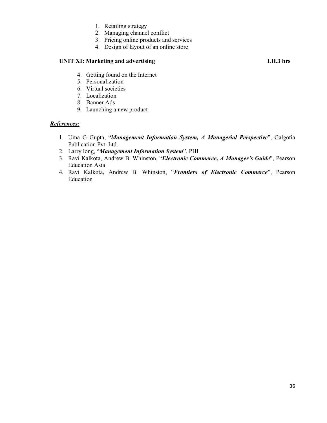- 1. Retailing strategy
- 2. Managing channel conflict
- 3. Pricing online products and services
- 4. Design of layout of an online store

#### UNIT XI: Marketing and advertising **LH.3** hrs

- 4. Getting found on the Internet
- 5. Personalization
- 6. Virtual societies
- 7. Localization
- 8. Banner Ads
- 9. Launching a new product

#### *References:*

- 1. Uma G Gupta, "*Management Information System, A Managerial Perspective*", Galgotia Publication Pvt. Ltd.
- 2. Larry long, "*Management Information System*", PHI
- 3. Ravi Kalkota, Andrew B. Whinston, "*Electronic Commerce, A Manager's Guide*", Pearson Education Asia
- 4. Ravi Kalkota, Andrew B. Whinston, "*Frontiers of Electronic Commerce*", Pearson Education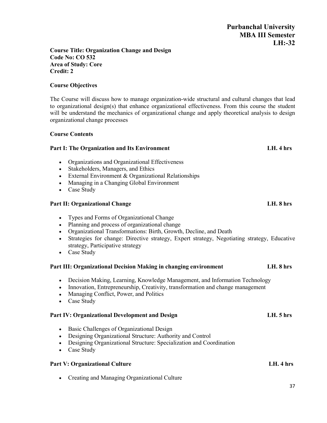#### **Course Title: Organization Change and Design Code No: CO 532 Area of Study: Core Credit: 2**

### **Course Objectives**

The Course will discuss how to manage organization-wide structural and cultural changes that lead to organizational design(s) that enhance organizational effectiveness. From this course the student will be understand the mechanics of organizational change and apply theoretical analysis to design organizational change processes

#### **Course Contents**

### **Part I: The Organization and Its Environment LH. 4 hrs**

- Organizations and Organizational Effectiveness
- Stakeholders, Managers, and Ethics
- External Environment & Organizational Relationships
- Managing in a Changing Global Environment
- Case Study

### **Part II: Organizational Change LH. 8 hrs**

- Types and Forms of Organizational Change
- Planning and process of organizational change
- Organizational Transformations: Birth, Growth, Decline, and Death
- Strategies for change: Directive strategy, Expert strategy, Negotiating strategy, Educative strategy, Participative strategy
- Case Study

### **Part III: Organizational Decision Making in changing environment LH. 8 hrs**

- Decision Making, Learning, Knowledge Management, and Information Technology
- Innovation, Entrepreneurship, Creativity, transformation and change management
- Managing Conflict, Power, and Politics
- Case Study

### **Part IV: Organizational Development and Design LH. 5 hrs**

- Basic Challenges of Organizational Design
- Designing Organizational Structure: Authority and Control
- Designing Organizational Structure: Specialization and Coordination
- Case Study

### Part V: Organizational Culture **LH. 4** hrs

Creating and Managing Organizational Culture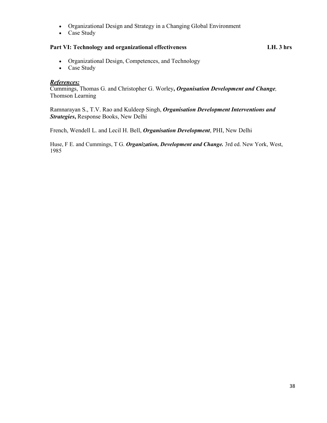- Organizational Design and Strategy in a Changing Global Environment
- Case Study

### **Part VI: Technology and organizational effectiveness LH. 3 hrs**

- Organizational Design, Competences, and Technology
- Case Study

#### *References:*

Cummings, Thomas G. and Christopher G. Worley**,** *Organisation Development and Change,* Thomson Learning

Ramnarayan S., T.V. Rao and Kuldeep Singh, *Organisation Development Interventions and Strategies***,** Response Books, New Delhi

French, Wendell L. and Lecil H. Bell, *Organisation Development*, PHI, New Delhi

Huse, F E. and Cummings, T G. *Organization, Development and Change.* 3rd ed. New York, West, 1985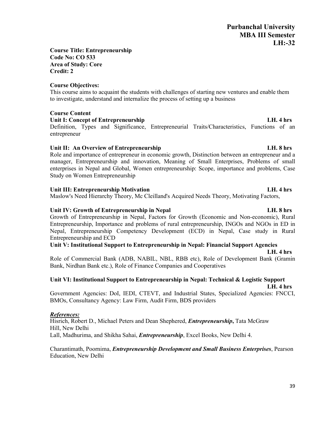### **Course Title: Entrepreneurship Code No: CO 533 Area of Study: Core Credit: 2**

### **Course Objectives:**

This course aims to acquaint the students with challenges of starting new ventures and enable them to investigate, understand and internalize the process of setting up a business

## **Course Content**

## **Unit I: Concept of Entrepreneurship LH. 4 hrs**

Definition, Types and Significance, Entrepreneurial Traits/Characteristics, Functions of an entrepreneur

## Unit II: An Overview of Entrepreneurship **LH.** 8 hrs

Role and importance of entrepreneur in economic growth, Distinction between an entrepreneur and a manager, Entrepreneurship and innovation, Meaning of Small Enterprises, Problems of small enterprises in Nepal and Global, Women entrepreneurship: Scope, importance and problems, Case Study on Women Entrepreneurship

## **Unit III: Entrepreneurship Motivation LH. 4 hrs**

Maslow's Need Hierarchy Theory, Mc Cleilland's Acquired Needs Theory, Motivating Factors,

## **Unit IV: Growth of Entrepreneurship in Nepal LH. 8 hrs**

Growth of Entrepreneurship in Nepal, Factors for Growth (Economic and Non-economic), Rural Entrepreneurship, Importance and problems of rural entrepreneurship, INGOs and NGOs in ED in Nepal, Entrepreneurship Competency Development (ECD) in Nepal, Case study in Rural Entrepreneurship and ECD

## **Unit V: Institutional Support to Entrepreneurship in Nepal: Financial Support Agencies**

### **LH. 4 hrs**

Role of Commercial Bank (ADB, NABIL, NBL, RBB etc), Role of Development Bank (Gramin Bank, Nirdhan Bank etc.), Role of Finance Companies and Cooperatives

## **Unit VI: Institutional Support to Entrepreneurship in Nepal: Technical & Logistic Support**

**LH. 4 hrs** Government Agencies: DoI, IEDI, CTEVT, and Industrial States, Specialized Agencies: FNCCI, BMOs, Consultancy Agency: Law Firm, Audit Firm, BDS providers

## *References:*

Hisrich, Robert D., Michael Peters and Dean Shephered, *Entrepreneurship***,** Tata McGraw Hill, New Delhi Lall, Madhurima, and Shikha Sahai, *Entrepreneurship*, Excel Books, New Delhi 4.

### Charantimath, Poornima, *Entrepreneurship Development and Small Business Enterprises*, Pearson Education, New Delhi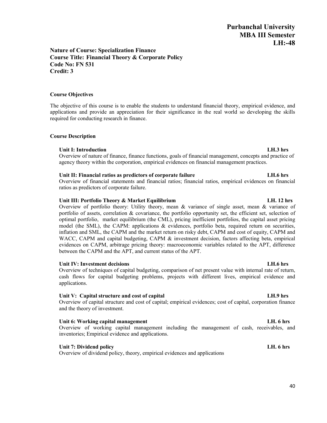#### **Nature of Course: Specialization Finance Course Title: Financial Theory & Corporate Policy Code No: FN 531 Credit: 3**

#### **Course Objectives**

The objective of this course is to enable the students to understand financial theory, empirical evidence, and applications and provide an appreciation for their significance in the real world so developing the skills required for conducting research in finance.

#### **Course Description**

#### **Unit I: Introduction LH.3 hrs**

Overview of nature of finance, finance functions, goals of financial management, concepts and practice of agency theory within the corporation, empirical evidences on financial management practices.

#### **Unit II: Financial ratios as predictors of corporate failure LH.6 hrs**

Overview of financial statements and financial ratios; financial ratios, empirical evidences on financial ratios as predictors of corporate failure.

#### Unit III: Portfolio Theory & Market Equilibrium **LH.** 12 hrs

Overview of portfolio theory: Utility theory, mean & variance of single asset, mean & variance of portfolio of assets, correlation & covariance, the portfolio opportunity set, the efficient set, selection of optimal portfolio, market equilibrium (the CML), pricing inefficient portfolios, the capital asset pricing model (the SML), the CAPM: applications & evidences, portfolio beta, required return on securities, inflation and SML, the CAPM and the market return on risky debt, CAPM and cost of equity, CAPM and WACC, CAPM and capital budgeting, CAPM & investment decision, factors affecting beta, empirical evidences on CAPM, arbitrage pricing theory: macroeconomic variables related to the APT, difference between the CAPM and the APT, and current status of the APT.

#### **Unit IV: Investment decisions LH.6 hrs**

Overview of techniques of capital budgeting, comparison of net present value with internal rate of return, cash flows for capital budgeting problems, projects with different lives, empirical evidence and applications.

#### **Unit V: Capital structure and cost of capital LH.9 hrs**

Overview of capital structure and cost of capital; empirical evidences; cost of capital, corporation finance and the theory of investment.

#### **Unit 6: Working capital management LH. 6 hrs**

Overview of working capital management including the management of cash, receivables, and inventories; Empirical evidence and applications.

#### **Unit 7: Dividend policy LH. 6 hrs**

Overview of dividend policy, theory, empirical evidences and applications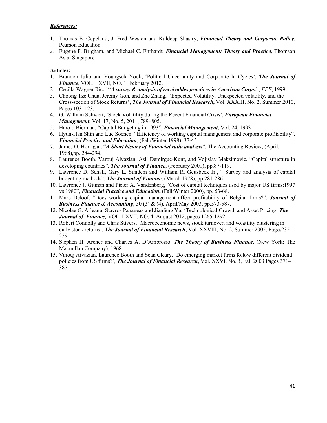#### *References:*

- 1. Thomas E. Copeland, J. Fred Weston and Kuldeep Shastry, *Financial Theory and Corporate Policy*, Pearson Education.
- 2. Eugene F. Brigham, and Michael C. Ehrhardt, *Financial Management: Theory and Practice*, Thomson Asia, Singapore.

#### **Articles:**

- 1. Brandon Julio and Youngsuk Yook, 'Political Uncertainty and Corporate In Cycles', *The Journal of Finance,* VOL. LXVII, NO. 1, February 2012.
- 2. Cecilla Wagner Ricci "*A survey & analysis of receivables practices in American Corps.*", *FPE*, 1999.
- 3. Choong Tze Chua, Jeremy Goh, and Zhe Zhang, 'Expected Volatility, Unexpected volatility, and the Cross-section of Stock Returns', *The Journal of Financial Research***,** Vol. XXXIII, No. 2, Summer 2010, Pages 103–123.
- 4. G. William Schwert, 'Stock Volatility during the Recent Financial Crisis', *European Financial Management*, Vol. 17, No. 5, 2011, 789–805.
- 5. Harold Bierman, "Capital Budgeting in 1993", *Financial Management*, Vol. 24, 1993
- 6. Hyun-Han Shin and Luc Soenen, "Efficiency of working capital management and corporate profitability", *Financial Practice and Education*, (Fall/Winter 1998), 37-45.
- 7. James O. Horrigan. "*A Short history of Financial ratio analysis*", The Accounting Review, (April, 1968),pp. 284-294.
- 8. Laurence Booth, Varouj Aivazian, Asli Demirguc-Kunt, and Vojislav Maksimovic, "Capital structure in developing countries", *The Journal of Finance*, (February 2001), pp.87-119.
- 9. Lawrence D. Schall, Gary L. Sundem and William R. Geusbeek Jr., " Survey and analysis of capital budgeting methods", *The Journal of Finance*, (March 1978), pp.281-286.
- 10. Lawrence J. Gitman and Pieter A. Vandenberg, "Cost of capital techniques used by major US firms:1997 vs 1980", *Financial Practice and Education***,** (Fall/Winter 2000), pp. 53-68.
- 11. Marc Deloof, "Does working capital management affect profitability of Belgian firms?", *Journal of Business Finance & Accounting***,** 30 (3) & (4), April/May 2003, pp.573-587.
- 12. Nicolae G. Arleanu, Stavros Panageas and Jianfeng Yu, 'Technological Growth and Asset Pricing' *The Journal of Finance,* VOL. LXVII, NO. 4, August 2012, pages 1265-1292.
- 13. Robert Connolly and Chris Stivers, 'Macroeconomic news, stock turnover, and volatility clustering in daily stock returns', *The Journal of Financial Research*, Vol. XXVIII, No. 2, Summer 2005, Pages235– 259.
- 14. Stephen H. Archer and Charles A. D'Ambrosio, *The Theory of Business Finance*, (New York: The Macmillan Company), 1968.
- 15. Varouj Aivazian, Laurence Booth and Sean Cleary, 'Do emerging market firms follow different dividend policies from US firms?', *The Journal of Financial Research*, Vol. XXVI, No. 3, Fall 2003 Pages 371– 387.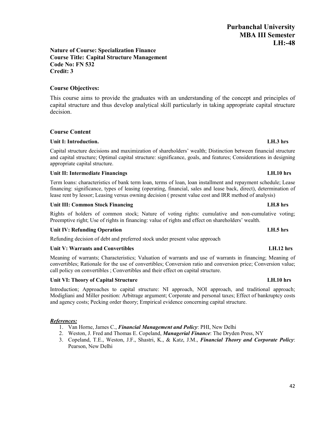#### **Nature of Course: Specialization Finance Course Title: Capital Structure Management Code No: FN 532 Credit: 3**

## **Course Objectives:**

This course aims to provide the graduates with an understanding of the concept and principles of capital structure and thus develop analytical skill particularly in taking appropriate capital structure decision.

#### **Course Content**

#### **Unit I: Introduction. LH.3 hrs**

Capital structure decisions and maximization of shareholders' wealth; Distinction between financial structure and capital structure; Optimal capital structure: significance, goals, and features; Considerations in designing appropriate capital structure.

#### **Unit II: Intermediate Financings LH.10 hrs**

Term loans: characteristics of bank term loan, terms of loan, loan installment and repayment schedule; Lease financing: significance, types of leasing (operating, financial, sales and lease back, direct), determination of lease rent by lessor; Leasing versus owning decision ( present value cost and IRR method of analysis)

#### **Unit III: Common Stock Financing LH.8 hrs**

Rights of holders of common stock; Nature of voting rights: cumulative and non-cumulative voting; Preemptive right; Use of rights in financing: value of rights and effect on shareholders' wealth.

#### **Unit IV: Refunding Operation LH.5 hrs**

Refunding decision of debt and preferred stock under present value approach

#### **Unit V: Warrants and Convertibles LH.12 hrs**

Meaning of warrants; Characteristics; Valuation of warrants and use of warrants in financing; Meaning of convertibles; Rationale for the use of convertibles; Conversion ratio and conversion price; Conversion value; call policy on convertibles ; Convertibles and their effect on capital structure.

#### **Unit VI: Theory of Capital Structure LH.10 hrs**

Introduction; Approaches to capital structure: NI approach, NOI approach, and traditional approach; Modigliani and Miller position: Arbitrage argument; Corporate and personal taxes; Effect of bankruptcy costs and agency costs; Pecking order theory; Empirical evidence concerning capital structure.

#### *References:*

- 1. Van Horne, James C., *Financial Management and Policy*: PHI, New Delhi
- 2. Weston, J. Fred and Thomas E. Copeland, *Managerial Finance*: The Dryden Press, NY
- 3. Copeland, T.E., Weston, J.F., Shastri, K., & Katz, J.M., *Financial Theory and Corporate Policy*: Pearson, New Delhi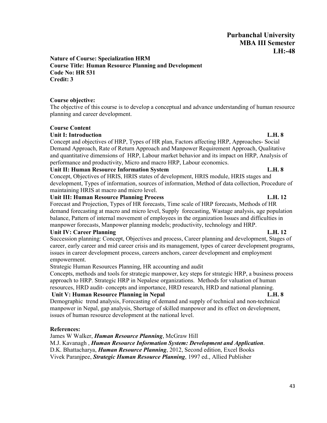**Nature of Course: Specialization HRM Course Title: Human Resource Planning and Development Code No: HR 531 Credit: 3**

#### **Course objective:**

The objective of this course is to develop a conceptual and advance understanding of human resource planning and career development.

#### **Course Content**

#### **Unit I: Introduction L.H. 8**

Concept and objectives of HRP, Types of HR plan, Factors affecting HRP, Approaches- Social Demand Approach, Rate of Return Approach and Manpower Requirement Approach, Qualitative and quantitative dimensions of HRP, Labour market behavior and its impact on HRP, Analysis of performance and productivity, Micro and macro HRP, Labour economics.

#### **Unit II: Human Resource Information System L.H. 8**

Concept, Objectives of HRIS, HRIS states of development, HRIS module, HRIS stages and development, Types of information, sources of information, Method of data collection, Procedure of maintaining HRIS at macro and micro level.

#### **Unit III: Human Resource Planning Process L.H. 12**

Forecast and Projection, Types of HR forecasts, Time scale of HRP forecasts, Methods of HR demand forecasting at macro and micro level, Supply forecasting, Wastage analysis, age population balance, Pattern of internal movement of employees in the organization Issues and difficulties in manpower forecasts, Manpower planning models; productivity, technology and HRP.

#### **Unit IV: Career Planning L.H. 12**

Succession planning: Concept, Objectives and process, Career planning and development, Stages of career, early career and mid career crisis and its management, types of career development programs, issues in career development process, careers anchors, career development and employment empowerment.

Strategic Human Resources Planning, HR accounting and audit

Concepts, methods and tools for strategic manpower, key steps for strategic HRP, a business process approach to HRP. Strategic HRP in Nepalese organizations. Methods for valuation of human resources, HRD audit- concepts and importance, HRD research, HRD and national planning.

## **Unit V: Human Resource Planning in Nepal L.H. 8**

Demographic trend analysis, Forecasting of demand and supply of technical and non-technical manpower in Nepal, gap analysis, Shortage of skilled manpower and its effect on development, issues of human resource development at the national level.

### **References:**

James W Walker, *Human Resource Planning*, McGraw Hill M.J. Kavanagh , *Human Resource Information System: Development and Application*. D.K. Bhattacharya, *Human Resource Planning*, 2012, Second edition, Excel Books Vivek Paranjpee, *Strategic Human Resource Planning*, 1997 ed., Allied Publisher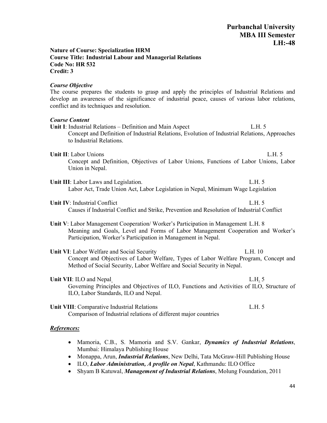#### **Nature of Course: Specialization HRM Course Title: Industrial Labour and Managerial Relations Code No: HR 532 Credit: 3**

#### *Course Objective*

The course prepares the students to grasp and apply the principles of Industrial Relations and develop an awareness of the significance of industrial peace, causes of various labor relations, conflict and its techniques and resolution.

#### *Course Content*

- **Unit I**: Industrial Relations Definition and Main Aspect L.H. 5 Concept and Definition of Industrial Relations, Evolution of Industrial Relations, Approaches to Industrial Relations.
- **Unit II**: Labor Unions L.H. 5

Concept and Definition, Objectives of Labor Unions, Functions of Labor Unions, Labor Union in Nepal.

- Unit III: Labor Laws and Legislation. L.H. 5 Labor Act, Trade Union Act, Labor Legislation in Nepal, Minimum Wage Legislation
- **Unit IV**: Industrial Conflict **L.H.** 5 Causes if Industrial Conflict and Strike, Prevention and Resolution of Industrial Conflict
- **Unit V**: Labor Management Cooperation/ Worker's Participation in Management L.H. 8 Meaning and Goals, Level and Forms of Labor Management Cooperation and Worker's Participation, Worker's Participation in Management in Nepal.
- **Unit VI**: Labor Welfare and Social Security L.H. 10 Concept and Objectives of Labor Welfare, Types of Labor Welfare Program, Concept and Method of Social Security, Labor Welfare and Social Security in Nepal.
- **Unit VII**: ILO and Nepal L.H. 5 Governing Principles and Objectives of ILO, Functions and Activities of ILO, Structure of ILO, Labor Standards, ILO and Nepal.

Unit VIII: Comparative Industrial Relations **L.H.** 5 Comparison of Industrial relations of different major countries

#### *References:*

- Mamoria, C.B., S. Mamoria and S.V. Gankar, *Dynamics of Industrial Relations*, Mumbai: Himalaya Publishing House
- Monappa, Arun, *Industrial Relations*, New Delhi, Tata McGraw-Hill Publishing House
- ILO, *Labor Administration, A profile on Nepal*, Kathmandu: ILO Office
- Shyam B Katuwal, *Management of Industrial Relations*, Molung Foundation, 2011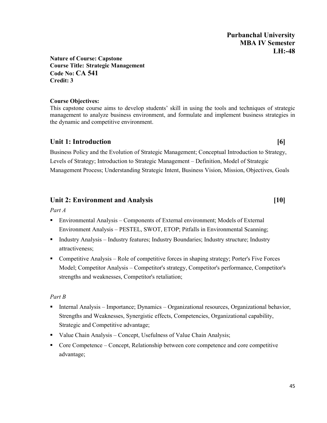**Nature of Course: Capstone Course Title: Strategic Management Code No: CA 541 Credit: 3**

### **Course Objectives:**

This capstone course aims to develop students' skill in using the tools and techniques of strategic management to analyze business environment, and formulate and implement business strategies in the dynamic and competitive environment.

## Unit 1: Introduction **[6]**

Business Policy and the Evolution of Strategic Management; Conceptual Introduction to Strategy, Levels of Strategy; Introduction to Strategic Management – Definition, Model of Strategic Management Process; Understanding Strategic Intent, Business Vision, Mission, Objectives, Goals

## **Unit 2: Environment and Analysis [10]**

*Part A*

- Environmental Analysis Components of External environment; Models of External Environment Analysis – PESTEL, SWOT, ETOP; Pitfalls in Environmental Scanning;
- Industry Analysis Industry features; Industry Boundaries; Industry structure; Industry attractiveness;
- Competitive Analysis Role of competitive forces in shaping strategy; Porter's Five Forces Model; Competitor Analysis – Competitor's strategy, Competitor's performance, Competitor's strengths and weaknesses, Competitor's retaliation;

## *Part B*

- Internal Analysis Importance; Dynamics Organizational resources, Organizational behavior, Strengths and Weaknesses, Synergistic effects, Competencies, Organizational capability, Strategic and Competitive advantage;
- Value Chain Analysis Concept, Usefulness of Value Chain Analysis;
- Core Competence Concept, Relationship between core competence and core competitive advantage;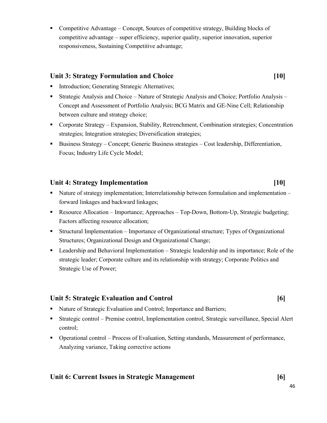Competitive Advantage – Concept, Sources of competitive strategy, Building blocks of competitive advantage – super efficiency, superior quality, superior innovation, superior responsiveness, Sustaining Competitive advantage;

## **Unit 3: Strategy Formulation and Choice [10]**

- **Introduction; Generating Strategic Alternatives;**
- Strategic Analysis and Choice Nature of Strategic Analysis and Choice; Portfolio Analysis Concept and Assessment of Portfolio Analysis; BCG Matrix and GE-Nine Cell; Relationship between culture and strategy choice;
- Corporate Strategy Expansion, Stability, Retrenchment, Combination strategies; Concentration strategies; Integration strategies; Diversification strategies;
- Business Strategy Concept; Generic Business strategies Cost leadership, Differentiation, Focus; Industry Life Cycle Model;

## **Unit 4: Strategy Implementation [10]**

- Nature of strategy implementation; Interrelationship between formulation and implementation forward linkages and backward linkages;
- Resource Allocation Importance; Approaches Top-Down, Bottom-Up, Strategic budgeting; Factors affecting resource allocation;
- Structural Implementation Importance of Organizational structure; Types of Organizational Structures; Organizational Design and Organizational Change;
- Leadership and Behavioral Implementation Strategic leadership and its importance; Role of the strategic leader; Corporate culture and its relationship with strategy; Corporate Politics and Strategic Use of Power;

## **Unit 5: Strategic Evaluation and Control [6]**

- Nature of Strategic Evaluation and Control; Importance and Barriers;
- Strategic control Premise control, Implementation control, Strategic surveillance, Special Alert control;
- Operational control Process of Evaluation, Setting standards, Measurement of performance, Analyzing variance, Taking corrective actions

## **Unit 6: Current Issues in Strategic Management [6]**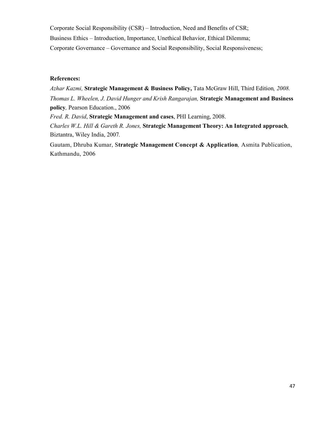Corporate Social Responsibility (CSR) – Introduction, Need and Benefits of CSR; Business Ethics – Introduction, Importance, Unethical Behavior, Ethical Dilemma; Corporate Governance – Governance and Social Responsibility, Social Responsiveness;

#### **References:**

*Azhar Kazmi,* **Strategic Management & Business Policy,** Tata McGraw Hill, Third Edition*, 2008. Thomas L. Wheelen, J. David Hunger and Krish Rangarajan,* **Strategic Management and Business policy***,* Pearson Education., 2006 *Fred. R. David*, **Strategic Management and cases**, PHI Learning, 2008. *Charles W.L. Hill & Gareth R. Jones,* **Strategic Management Theory: An Integrated approach***,*  Biztantra, Wiley India, 2007*.*

Gautam, Dhruba Kumar, S**trategic Management Concept & Application***,* Asmita Publication, Kathmandu, 2006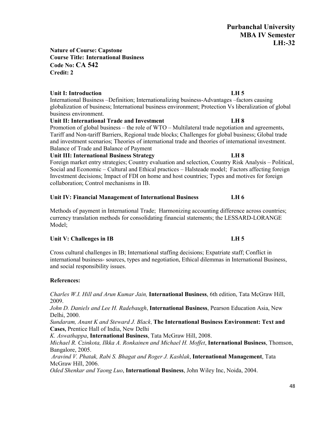## **Nature of Course: Capstone Course Title: International Business Code No: CA 542 Credit: 2**

## **Unit I: Introduction LH 5**

International Business –Definition; Internationalizing business-Advantages –factors causing globalization of business; International business environment; Protection Vs liberalization of global business environment.

## **Unit II: International Trade and Investment LH 8**

Promotion of global business – the role of WTO – Multilateral trade negotiation and agreements, Tariff and Non-tariff Barriers, Regional trade blocks; Challenges for global business; Global trade and investment scenarios; Theories of international trade and theories of international investment. Balance of Trade and Balance of Payment

## **Unit III: International Business Strategy LH 8**

Foreign market entry strategies; Country evaluation and selection, Country Risk Analysis – Political, Social and Economic – Cultural and Ethical practices – Halsteade model; Factors affecting foreign Investment decisions; Impact of FDI on home and host countries; Types and motives for foreign collaboration; Control mechanisms in IB.

## **Unit IV: Financial Management of International Business LH 6**

Methods of payment in International Trade; Harmonizing accounting difference across countries; currency translation methods for consolidating financial statements; the LESSARD-LORANGE Model;

## Unit V: Challenges in IB **LH 5**

Cross cultural challenges in IB; International staffing decisions; Expatriate staff; Conflict in international business- sources, types and negotiation, Ethical dilemmas in International Business, and social responsibility issues.

## **References:**

*Charles W.I. Hill and Arun Kumar Jain,* **International Business**, 6th edition, Tata McGraw Hill, 2009.

*John D. Daniels and Lee H. Radebaugh*, **International Business**, Pearson Education Asia, New Delhi, 2000.

*Sundaram, Anant K and Steward J. Black*, **The International Business Environment: Text and Cases,** Prentice Hall of India, New Delhi

*K. Aswathappa*, **International Business**, Tata McGraw Hill, 2008.

*Michael R. Czinkota, Ilkka A. Ronkainen and Michael H. Moffet*, **International Business**, Thomson, Bangalore, 2005.

*Aravind V. Phatak, Rabi S. Bhagat and Roger J. Kashlak*, **International Management**, Tata McGraw Hill, 2006.

*Oded Shenkar and Yaong Luo*, **International Business**, John Wiley Inc, Noida, 2004.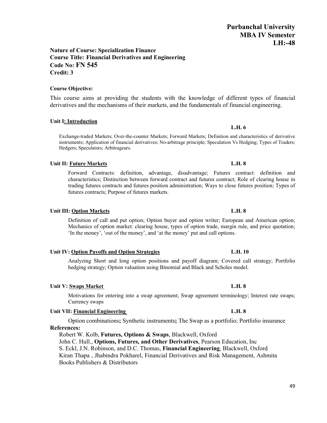### **Nature of Course: Specialization Finance Course Title: Financial Derivatives and Engineering Code No: FN 545 Credit: 3**

## **Course Objective:**

This course aims at providing the students with the knowledge of different types of financial derivatives and the mechanisms of their markets, and the fundamentals of financial engineering.

## **Unit I: Introduction**

Exchange-traded Markets; Over-the-counter Markets; Forward Markets; Definition and characteristics of derivative instruments; Application of financial derivatives; No-arbitrage principle; Speculation Vs Hedging; Types of Traders; Hedgers; Speculators; Arbitrageurs.

## **Unit II: Future Markets L.H. 8**

Forward Contracts: definition, advantage, disadvantage; Futures contract: definition and characteristics; Distinction between forward contract and futures contract; Role of clearing house in trading futures contracts and futures position administration; Ways to close futures position; Types of futures contracts; Purpose of futures markets.

## **Unit III: Option Markets L.H. 8**

Definition of call and put option; Option buyer and option writer; European and American option; Mechanics of option market: clearing house, types of option trade, margin rule, and price quotation; 'In the money', 'out of the money', and 'at the money' put and call options.

### **Unit IV: Option Payoffs and Option Strategies L.H. 10**

Analyzing Short and long option positions and payoff diagram; Covered call strategy; Portfolio hedging strategy; Option valuation using Binomial and Black and Scholes model.

## **Unit V:** Swaps Market **L.H.** 8

Motivations for entering into a swap agreement; Swap agreement terminology; Interest rate swaps; Currency swaps

## **Unit VII: Financial Engineering L.H. 8**

Option combinations**;** Synthetic instruments**;** The Swap as a portfolio; Portfolio insurance **References:**

Robert W. Kolb, **Futures, Options & Swaps**, Blackwell, Oxford John C. Hull., **Options, Futures, and Other Derivatives**, Pearson Education, Inc S. Eckl, J.N. Robinson, and D.C. Thomas, **Financial Engineering**, Blackwell, Oxford Kiran Thapa , Jhabindra Pokharel, Financial Derivatives and Risk Management, Ashmita Books Publishers & Distributors

## **L.H. 6**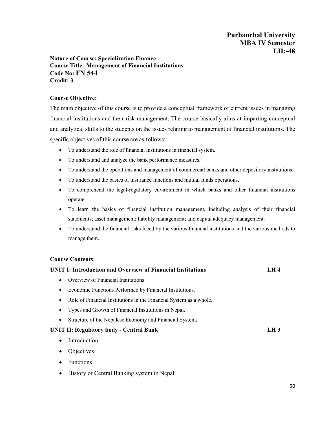### **Nature of Course: Specialization Finance Course Title: Management of Financial Institutions Code No: FN 544 Credit: 3**

## **Course Objective:**

The main objective of this course is to provide a conceptual framework of current issues in managing financial institutions and their risk management. The course basically aims at imparting conceptual and analytical skills to the students on the issues relating to management of financial institutions. The specific objectives of this course are as follows:

- To understand the role of financial institutions in financial system.
- To understand and analyze the bank performance measures.
- To understand the operations and management of commercial banks and other depository institutions.
- To understand the basics of insurance functions and mutual funds operations.
- To comprehend the legal-regulatory environment in which banks and other financial institutions operate.
- To learn the basics of financial institution management, including analysis of their financial statements; asset management; liability management; and capital adequacy management.
- To understand the financial risks faced by the various financial institutions and the various methods to manage them.

#### **Course Contents:**

| <b>UNIT I: Introduction and Overview of Financial Institutions</b> | LH 4   |
|--------------------------------------------------------------------|--------|
| Overview of Financial Institutions.                                |        |
| Economic Functions Performed by Financial Institutions.            |        |
| Role of Financial Institutions in the Financial System as a whole. |        |
| Types and Growth of Financial Institutions in Nepal.               |        |
| Structure of the Nepalese Economy and Financial System.            |        |
| <b>UNIT II: Regulatory body - Central Bank</b>                     | $LH_3$ |
| Introduction                                                       |        |
| Objectives                                                         |        |
| <b>Functions</b>                                                   |        |
|                                                                    |        |

• History of Central Banking system in Nepal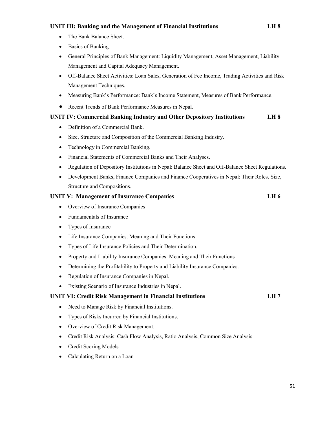#### **UNIT III: Banking and the Management of Financial Institutions LH 8**

- The Bank Balance Sheet.
- Basics of Banking.
- General Principles of Bank Management: Liquidity Management, Asset Management, Liability Management and Capital Adequacy Management.
- Off-Balance Sheet Activities: Loan Sales, Generation of Fee Income, Trading Activities and Risk Management Techniques.
- Measuring Bank's Performance: Bank's Income Statement, Measures of Bank Performance.
- Recent Trends of Bank Performance Measures in Nepal.

### **UNIT IV: Commercial Banking Industry and Other Depository Institutions LH 8**

- Definition of a Commercial Bank.
- Size, Structure and Composition of the Commercial Banking Industry.
- Technology in Commercial Banking.
- Financial Statements of Commercial Banks and Their Analyses.
- Regulation of Depository Institutions in Nepal: Balance Sheet and Off-Balance Sheet Regulations.
- Development Banks, Finance Companies and Finance Cooperatives in Nepal: Their Roles, Size, Structure and Compositions.

#### **UNIT V: Management of Insurance Companies LH 6**

- Overview of Insurance Companies
- Fundamentals of Insurance
- Types of Insurance
- Life Insurance Companies: Meaning and Their Functions
- Types of Life Insurance Policies and Their Determination.
- Property and Liability Insurance Companies: Meaning and Their Functions
- Determining the Profitability to Property and Liability Insurance Companies.
- Regulation of Insurance Companies in Nepal.
- Existing Scenario of Insurance Industries in Nepal.

#### **UNIT VI: Credit Risk Management in Financial Institutions LH 7**

- Need to Manage Risk by Financial Institutions.
- Types of Risks Incurred by Financial Institutions.
- Overview of Credit Risk Management.
- Credit Risk Analysis: Cash Flow Analysis, Ratio Analysis, Common Size Analysis
- Credit Scoring Models
- Calculating Return on a Loan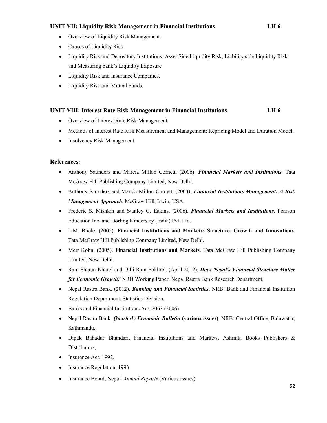#### **UNIT VII: Liquidity Risk Management in Financial Institutions LH 6**

- Overview of Liquidity Risk Management.
- Causes of Liquidity Risk.
- Liquidity Risk and Depository Institutions: Asset Side Liquidity Risk, Liability side Liquidity Risk and Measuring bank's Liquidity Exposure
- Liquidity Risk and Insurance Companies.
- Liquidity Risk and Mutual Funds.

#### **UNIT VIII: Interest Rate Risk Management in Financial Institutions LH 6**

- Overview of Interest Rate Risk Management.
- Methods of Interest Rate Risk Measurement and Management: Repricing Model and Duration Model.
- Insolvency Risk Management.

#### **References:**

- Anthony Saunders and Marcia Millon Cornett. (2006). *Financial Markets and Institutions*. Tata McGraw Hill Publishing Company Limited, New Delhi.
- Anthony Saunders and Marcia Millon Cornett. (2003). *Financial Institutions Management: A Risk Management Approach*. McGraw Hill, Irwin, USA.
- Frederic S. Mishkin and Stanley G. Eakins. (2006). *Financial Markets and Institutions.* Pearson Education Inc. and Dorling Kindersley (India) Pvt. Ltd.
- L.M. Bhole. (2005). **Financial Institutions and Markets: Structure, Growth and Innovations**. Tata McGraw Hill Publishing Company Limited, New Delhi.
- Meir Kohn. (2005). **Financial Institutions and Markets**. Tata McGraw Hill Publishing Company Limited, New Delhi.
- Ram Sharan Kharel and Dilli Ram Pokhrel. (April 2012). *Does Nepal's Financial Structure Matter for Economic Growth?* NRB Working Paper. Nepal Rastra Bank Research Department.
- Nepal Rastra Bank. (2012). *Banking and Financial Statistics*. NRB: Bank and Financial Institution Regulation Department, Statistics Division.
- Banks and Financial Institutions Act, 2063 (2006).
- Nepal Rastra Bank. *Quarterly Economic Bulletin* **(various issues)**. NRB: Central Office, Baluwatar, Kathmandu.
- Dipak Bahadur Bhandari, Financial Institutions and Markets, Ashmita Books Publishers & Distributors,
- Insurance Act, 1992.
- Insurance Regulation, 1993
- Insurance Board, Nepal. *Annual Reports* (Various Issues)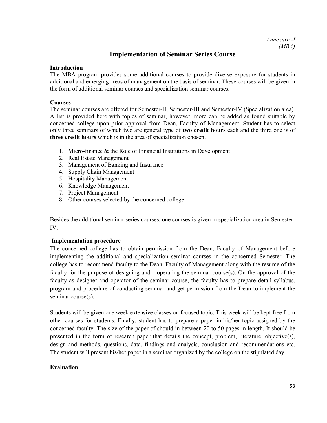## **Implementation of Seminar Series Course**

#### **Introduction**

The MBA program provides some additional courses to provide diverse exposure for students in additional and emerging areas of management on the basis of seminar. These courses will be given in the form of additional seminar courses and specialization seminar courses.

#### **Courses**

The seminar courses are offered for Semester-II, Semester-III and Semester-IV (Specialization area). A list is provided here with topics of seminar, however, more can be added as found suitable by concerned college upon prior approval from Dean, Faculty of Management. Student has to select only three seminars of which two are general type of **two credit hours** each and the third one is of **three credit hours** which is in the area of specialization chosen.

- 1. Micro-finance & the Role of Financial Institutions in Development
- 2. Real Estate Management
- 3. Management of Banking and Insurance
- 4. Supply Chain Management
- 5. Hospitality Management
- 6. Knowledge Management
- 7. Project Management
- 8. Other courses selected by the concerned college

Besides the additional seminar series courses, one courses is given in specialization area in Semester-IV.

### **Implementation procedure**

The concerned college has to obtain permission from the Dean, Faculty of Management before implementing the additional and specialization seminar courses in the concerned Semester. The college has to recommend faculty to the Dean, Faculty of Management along with the resume of the faculty for the purpose of designing and operating the seminar course(s). On the approval of the faculty as designer and operator of the seminar course, the faculty has to prepare detail syllabus, program and procedure of conducting seminar and get permission from the Dean to implement the seminar course(s).

Students will be given one week extensive classes on focused topic. This week will be kept free from other courses for students. Finally, student has to prepare a paper in his/her topic assigned by the concerned faculty. The size of the paper of should in between 20 to 50 pages in length. It should be presented in the form of research paper that details the concept, problem, literature, objective(s), design and methods, questions, data, findings and analysis, conclusion and recommendations etc. The student will present his/her paper in a seminar organized by the college on the stipulated day

### **Evaluation**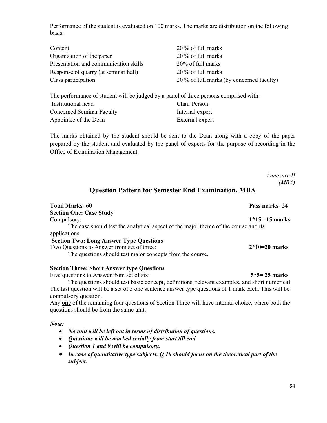Performance of the student is evaluated on 100 marks. The marks are distribution on the following basis:

| Content                               | 20 % of full marks                        |
|---------------------------------------|-------------------------------------------|
| Organization of the paper             | $20\%$ of full marks                      |
| Presentation and communication skills | 20% of full marks                         |
| Response of quarry (at seminar hall)  | $20\%$ of full marks                      |
| Class participation                   | 20 % of full marks (by concerned faculty) |

The performance of student will be judged by a panel of three persons comprised with: Institutional head Chair Person Concerned Seminar Faculty Internal expert Appointee of the Dean External expert

The marks obtained by the student should be sent to the Dean along with a copy of the paper prepared by the student and evaluated by the panel of experts for the purpose of recording in the Office of Examination Management.

> *Annexure II (MBA)*

## **Question Pattern for Semester End Examination, MBA**

| <b>Total Marks-60</b>                                                               | Pass marks-24     |
|-------------------------------------------------------------------------------------|-------------------|
| <b>Section One: Case Study</b>                                                      |                   |
| Compulsory:                                                                         | $1*15 = 15$ marks |
| The case should test the analytical aspect of the major theme of the course and its |                   |
| applications                                                                        |                   |
| <b>Section Two: Long Answer Type Questions</b>                                      |                   |
| Two Questions to Answer from set of three:                                          | $2*10=20$ marks   |
| The questions should test major concepts from the course.                           |                   |
|                                                                                     |                   |

#### **Section Three: Short Answer type Questions**

Five questions to Answer from set of six: **5\*5= 25 marks**

The questions should test basic concept, definitions, relevant examples, and short numerical The last question will be a set of 5 one sentence answer type questions of 1 mark each. This will be compulsory question.

Any **one** of the remaining four questions of Section Three will have internal choice, where both the questions should be from the same unit.

*Note:* 

- *No unit will be left out in terms of distribution of questions.*
- *Questions will be marked serially from start till end.*
- *Question 1 and 9 will be compulsory.*
- *In case of quantitative type subjects, Q 10 should focus on the theoretical part of the subject.*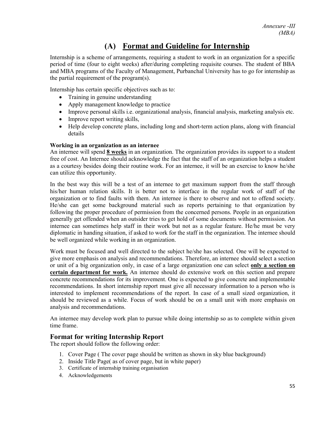# **(A) Format and Guideline for Internship**

Internship is a scheme of arrangements, requiring a student to work in an organization for a specific period of time (four to eight weeks) after/during completing requisite courses. The student of BBA and MBA programs of the Faculty of Management, Purbanchal University has to go for internship as the partial requirement of the program(s).

Internship has certain specific objectives such as to:

- Training in genuine understanding
- Apply management knowledge to practice
- Improve personal skills i.e. organizational analysis, financial analysis, marketing analysis etc.
- Improve report writing skills,
- Help develop concrete plans, including long and short-term action plans, along with financial details

#### **Working in an organization as an internee**

An internee will spend **8 weeks** in an organization. The organization provides its support to a student free of cost. An Internee should acknowledge the fact that the staff of an organization helps a student as a courtesy besides doing their routine work. For an internee, it will be an exercise to know he/she can utilize this opportunity.

In the best way this will be a test of an internee to get maximum support from the staff through his/her human relation skills. It is better not to interface in the regular work of staff of the organization or to find faults with them. An internee is there to observe and not to offend society. He/she can get some background material such as reports pertaining to that organization by following the proper procedure of permission from the concerned persons. People in an organization generally get offended when an outsider tries to get hold of some documents without permission. An internee can sometimes help staff in their work but not as a regular feature. He/he must be very diplomatic in handing situation, if asked to work for the staff in the organization. The internee should be well organized while working in an organization.

Work must be focused and well directed to the subject he/she has selected. One will be expected to give more emphasis on analysis and recommendations. Therefore, an internee should select a section or unit of a big organization only, in case of a large organization one can select **only a section on certain department for work.** An internee should do extensive work on this section and prepare concrete recommendations for its improvement. One is expected to give concrete and implementable recommendations. In short internship report must give all necessary information to a person who is interested to implement recommendations of the report. In case of a small sized organization, it should be reviewed as a while. Focus of work should be on a small unit with more emphasis on analysis and recommendations.

An internee may develop work plan to pursue while doing internship so as to complete within given time frame.

### **Format for writing Internship Report**

The report should follow the following order:

- 1. Cover Page ( The cover page should be written as shown in sky blue background)
- 2. Inside Title Page( as of cover page, but in white paper)
- 3. Certificate of internship training organisation
- 4. Acknowledgements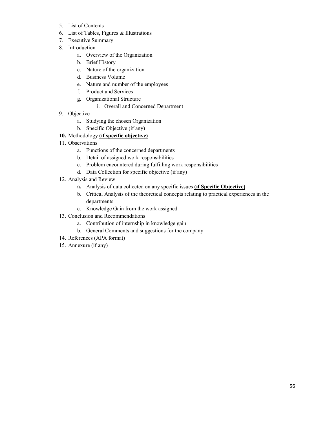- 5. List of Contents
- 6. List of Tables, Figures & Illustrations
- 7. Executive Summary
- 8. Introduction
	- a. Overview of the Organization
	- b. Brief History
	- c. Nature of the organization
	- d. Business Volume
	- e. Nature and number of the employees
	- f. Product and Services
	- g. Organizational Structure
		- i. Overall and Concerned Department
- 9. Objective
	- a. Studying the chosen Organization
	- b. Specific Objective (if any)
- **10.** Methodology **(if specific objective)**
- 11. Observations
	- a. Functions of the concerned departments
	- b. Detail of assigned work responsibilities
	- c. Problem encountered during fulfilling work responsibilities
	- d. Data Collection for specific objective (if any)
- 12. Analysis and Review
	- **a.** Analysis of data collected on any specific issues **(if Specific Objective)**
	- b. Critical Analysis of the theoretical concepts relating to practical experiences in the departments
	- c. Knowledge Gain from the work assigned
- 13. Conclusion and Recommendations
	- a. Contribution of internship in knowledge gain
	- b. General Comments and suggestions for the company
- 14. References (APA format)
- 15. Annexure (if any)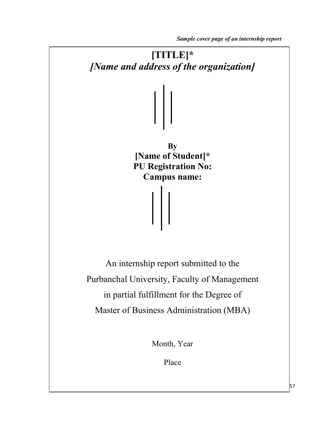*Sample cover page of an internship report*



57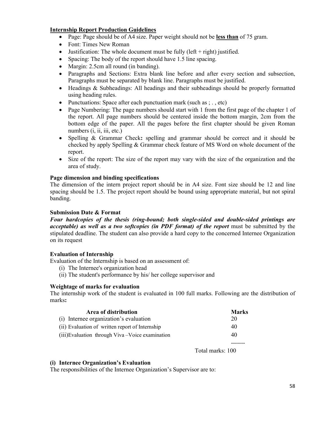#### **Internship Report Production Guidelines**

- Page: Page should be of A4 size. Paper weight should not be **less than** of 75 gram.
- Font: Times New Roman
- Justification: The whole document must be fully  $(\text{left} + \text{right})$  justified.
- Spacing: The body of the report should have 1.5 line spacing.
- Margin: 2.5cm all round (in banding).
- Paragraphs and Sections: Extra blank line before and after every section and subsection, Paragraphs must be separated by blank line. Paragraphs must be justified.
- Headings & Subheadings: All headings and their subheadings should be properly formatted using heading rules.
- Punctuations: Space after each punctuation mark (such as  $; . , etc$ )
- Page Numbering: The page numbers should start with 1 from the first page of the chapter 1 of the report. All page numbers should be centered inside the bottom margin, 2cm from the bottom edge of the paper. All the pages before the first chapter should be given Roman numbers (*i*, *ii*, *iii*, *etc.*)
- Spelling & Grammar Check**:** spelling and grammar should be correct and it should be checked by apply Spelling & Grammar check feature of MS Word on whole document of the report.
- Size of the report: The size of the report may vary with the size of the organization and the area of study.

#### **Page dimension and binding specifications**

The dimension of the intern project report should be in A4 size. Font size should be 12 and line spacing should be 1.5. The project report should be bound using appropriate material, but not spiral banding.

#### **Submission Date & Format**

*Four hardcopies of the thesis (ring-bound; both single-sided and double-sided printings are acceptable) as well as a two softcopies (in PDF format) of the report* must be submitted by the stipulated deadline. The student can also provide a hard copy to the concerned Internee Organization on its request

#### **Evaluation of Internship**

Evaluation of the Internship is based on an assessment of:

- (i) The Internee's organization head
- (ii) The student's performance by his/ her college supervisor and

#### **Weightage of marks for evaluation**

The internship work of the student is evaluated in 100 full marks. Following are the distribution of marks**:** 

| Area of distribution                              | <b>Marks</b> |
|---------------------------------------------------|--------------|
| (i) Internee organization's evaluation            | 20           |
| (ii) Evaluation of written report of Internship   | 40           |
| (iii) Evaluation through Viva – Voice examination | 40           |
|                                                   |              |

Total marks: 100

#### **(i) Internee Organization's Evaluation**

The responsibilities of the Internee Organization's Supervisor are to: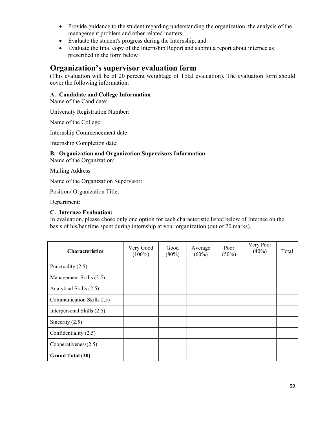- Provide guidance to the student regarding understanding the organization, the analysis of the management problem and other related matters,
- Evaluate the student's progress during the Internship, and
- Evaluate the final copy of the Internship Report and submit a report about internee as prescribed in the form below

## **Organization's supervisor evaluation form**

(This evaluation will be of 20 percent weightage of Total evaluation). The evaluation form should cover the following information:

### **A. Candidate and College Information**

Name of the Candidate:

University Registration Number:

Name of the College:

Internship Commencement date:

Internship Completion date:

### **B. Organization and Organization Supervisors Information**

Name of the Organization:

Mailing Address

Name of the Organization Supervisor:

Position/ Organization Title:

Department:

#### **C. Internee Evaluation:**

In evaluation, please chose only one option for each characteristic listed below of Internee on the basis of his/her time spent during internship at your organization (out of 20 marks).

| <b>Characteristics</b>     | Very Good<br>$(100\%)$ | Good<br>$(80\%)$ | Average<br>$(60\%)$ | Poor<br>$(50\%)$ | Very Poor<br>$(40\%)$ | Total |
|----------------------------|------------------------|------------------|---------------------|------------------|-----------------------|-------|
| Punctuality (2.5):         |                        |                  |                     |                  |                       |       |
| Management Skills (2.5)    |                        |                  |                     |                  |                       |       |
| Analytical Skills (2.5)    |                        |                  |                     |                  |                       |       |
| Communication Skills 2.5)  |                        |                  |                     |                  |                       |       |
| Interpersonal Skills (2.5) |                        |                  |                     |                  |                       |       |
| Sincerity $(2.5)$          |                        |                  |                     |                  |                       |       |
| Confidentiality (2.5)      |                        |                  |                     |                  |                       |       |
| Cooperativeness(2.5)       |                        |                  |                     |                  |                       |       |
| <b>Grand Total (20)</b>    |                        |                  |                     |                  |                       |       |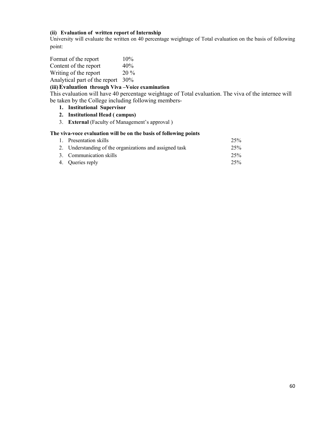#### **(ii) Evaluation of written report of Internship**

University will evaluate the written on 40 percentage weightage of Total evaluation on the basis of following point:

| Format of the report          | 10%    |
|-------------------------------|--------|
| Content of the report         | 40%    |
| Writing of the report         | $20\%$ |
| Analytical part of the report | 30%    |

#### **(iii)Evaluation through Viva –Voice examination**

This evaluation will have 40 percentage weightage of Total evaluation. The viva of the internee will be taken by the College including following members-

- **1. Institutional Supervisor**
- **2. Institutional Head ( campus)**
- 3. **External** (Faculty of Management's approval )

#### **The viva-voce evaluation will be on the basis of following points**

| 1. Presentation skills                                  | 25% |
|---------------------------------------------------------|-----|
| 2. Understanding of the organizations and assigned task | 25% |
| 3. Communication skills                                 | 25% |
| 4. Oueries reply                                        | 25% |
|                                                         |     |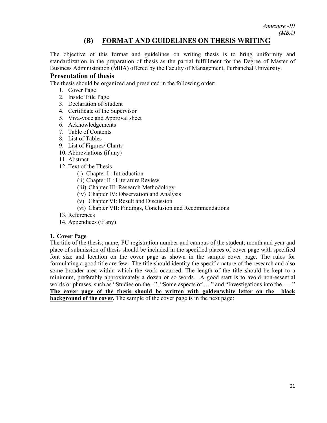*Annexure -III (MBA)*

## **(B) FORMAT AND GUIDELINES ON THESIS WRITING**

The objective of this format and guidelines on writing thesis is to bring uniformity and standardization in the preparation of thesis as the partial fulfillment for the Degree of Master of Business Administration (MBA) offered by the Faculty of Management, Purbanchal University.

#### **Presentation of thesis**

The thesis should be organized and presented in the following order:

- 1. Cover Page
- 2. Inside Title Page
- 3. Declaration of Student
- 4. Certificate of the Supervisor
- 5. Viva-voce and Approval sheet
- 6. Acknowledgements
- 7. Table of Contents
- 8. List of Tables
- 9. List of Figures/ Charts
- 10. Abbreviations (if any)
- 11. Abstract
- 12. Text of the Thesis
	- (i) Chapter I : Introduction
	- (ii) Chapter II : Literature Review
	- (iii) Chapter III: Research Methodology
	- (iv) Chapter IV: Observation and Analysis
	- (v) Chapter VI: Result and Discussion
	- (vi) Chapter VII: Findings, Conclusion and Recommendations
- 13. References
- 14. Appendices (if any)

#### **1. Cover Page**

The title of the thesis; name, PU registration number and campus of the student; month and year and place of submission of thesis should be included in the specified places of cover page with specified font size and location on the cover page as shown in the sample cover page. The rules for formulating a good title are few. The title should identity the specific nature of the research and also some broader area within which the work occurred. The length of the title should be kept to a minimum, preferably approximately a dozen or so words. A good start is to avoid non-essential words or phrases, such as "Studies on the...", "Some aspects of ...." and "Investigations into the......" **The cover page of the thesis should be written with golden/white letter on the black background of the cover.** The sample of the cover page is in the next page: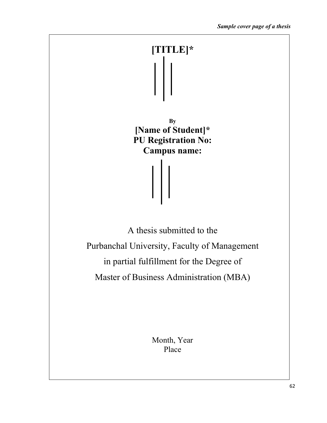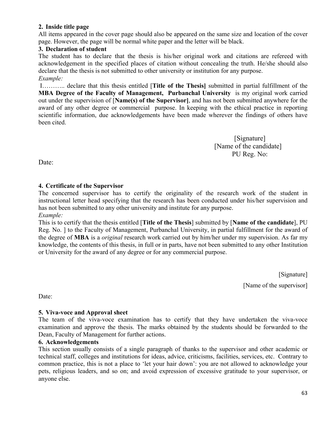## **2. Inside title page**

All items appeared in the cover page should also be appeared on the same size and location of the cover page. However, the page will be normal white paper and the letter will be black.

## **3. Declaration of student**

The student has to declare that the thesis is his/her original work and citations are refereed with acknowledgement in the specified places of citation without concealing the truth. He/she should also declare that the thesis is not submitted to other university or institution for any purpose. *Example:*

I……….. declare that this thesis entitled [**Title of the Thesis]** submitted in partial fulfillment of the **MBA Degree of the Faculty of Management, Purbanchal University** is my original work carried out under the supervision of [**Name(s) of the Supervisor]**, and has not been submitted anywhere for the award of any other degree or commercial purpose. In keeping with the ethical practice in reporting scientific information, due acknowledgements have been made wherever the findings of others have been cited.

> [Signature] [Name of the candidate] PU Reg. No:

Date:

## **4. Certificate of the Supervisor**

The concerned supervisor has to certify the originality of the research work of the student in instructional letter head specifying that the research has been conducted under his/her supervision and has not been submitted to any other university and institute for any purpose.

*Example:*

This is to certify that the thesis entitled [**Title of the Thesis**] submitted by [**Name of the candidate**], PU Reg. No. ] to the Faculty of Management, Purbanchal University, in partial fulfillment for the award of the degree of **MBA** is a *original* research work carried out by him/her under my supervision. As far my knowledge, the contents of this thesis, in full or in parts, have not been submitted to any other Institution or University for the award of any degree or for any commercial purpose.

> [Signature] [Name of the supervisor]

Date:

## **5. Viva-voce and Approval sheet**

The team of the viva-voce examination has to certify that they have undertaken the viva-voce examination and approve the thesis. The marks obtained by the students should be forwarded to the Dean, Faculty of Management for further actions.

### **6. Acknowledgements**

This section usually consists of a single paragraph of thanks to the supervisor and other academic or technical staff, colleges and institutions for ideas, advice, criticisms, facilities, services, etc. Contrary to common practice, this is not a place to 'let your hair down': you are not allowed to acknowledge your pets, religious leaders, and so on; and avoid expression of excessive gratitude to your supervisor, or anyone else.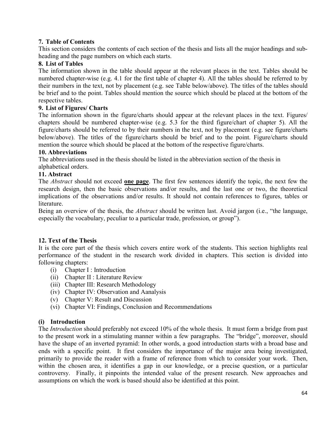## **7. Table of Contents**

This section considers the contents of each section of the thesis and lists all the major headings and subheading and the page numbers on which each starts.

## **8. List of Tables**

The information shown in the table should appear at the relevant places in the text. Tables should be numbered chapter-wise (e.g. 4.1 for the first table of chapter 4). All the tables should be referred to by their numbers in the text, not by placement (e.g. see Table below/above). The titles of the tables should be brief and to the point. Tables should mention the source which should be placed at the bottom of the respective tables.

## **9. List of Figures/ Charts**

The information shown in the figure/charts should appear at the relevant places in the text. Figures/ chapters should be numbered chapter-wise (e.g. 5.3 for the third figure/chart of chapter 5). All the figure/charts should be referred to by their numbers in the text, not by placement (e.g. see figure/charts below/above). The titles of the figure/charts should be brief and to the point. Figure/charts should mention the source which should be placed at the bottom of the respective figure/charts.

## **10. Abbreviations**

The abbreviations used in the thesis should be listed in the abbreviation section of the thesis in alphabetical orders.

## **11. Abstract**

The *Abstract* should not exceed **one page**. The first few sentences identify the topic, the next few the research design, then the basic observations and/or results, and the last one or two, the theoretical implications of the observations and/or results. It should not contain references to figures, tables or literature.

Being an overview of the thesis, the *Abstract* should be written last. Avoid jargon (i.e., "the language, especially the vocabulary, peculiar to a particular trade, profession, or group").

## **12. Text of the Thesis**

It is the core part of the thesis which covers entire work of the students. This section highlights real performance of the student in the research work divided in chapters. This section is divided into following chapters:

- (i) Chapter I : Introduction
- (ii) Chapter II : Literature Review
- (iii) Chapter III: Research Methodology
- (iv) Chapter IV: Observation and Aanalysis
- (v) Chapter V: Result and Discussion
- (vi) Chapter VI: Findings, Conclusion and Recommendations

## **(i) Introduction**

The *Introduction* should preferably not exceed 10% of the whole thesis. It must form a bridge from past to the present work in a stimulating manner within a few paragraphs. The "bridge", moreover, should have the shape of an inverted pyramid: In other words, a good introduction starts with a broad base and ends with a specific point. It first considers the importance of the major area being investigated, primarily to provide the reader with a frame of reference from which to consider your work. Then, within the chosen area, it identifies a gap in our knowledge, or a precise question, or a particular controversy. Finally, it pinpoints the intended value of the present research. New approaches and assumptions on which the work is based should also be identified at this point.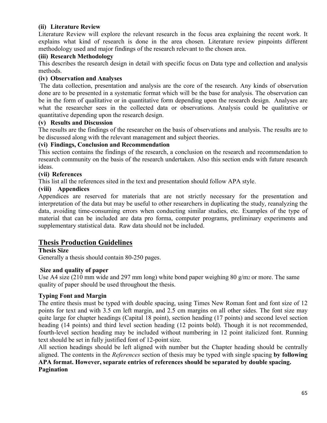## **(ii) Literature Review**

Literature Review will explore the relevant research in the focus area explaining the recent work. It explains what kind of research is done in the area chosen. Literature review pinpoints different methodology used and major findings of the research relevant to the chosen area.

## **(iii) Research Methodology**

This describes the research design in detail with specific focus on Data type and collection and analysis methods.

### **(iv) Observation and Analyses**

The data collection, presentation and analysis are the core of the research. Any kinds of observation done are to be presented in a systematic format which will be the base for analysis. The observation can be in the form of qualitative or in quantitative form depending upon the research design. Analyses are what the researcher sees in the collected data or observations. Analysis could be qualitative or quantitative depending upon the research design.

### **(v) Results and Discussion**

The results are the findings of the researcher on the basis of observations and analysis. The results are to be discussed along with the relevant management and subject theories.

### **(vi) Findings, Conclusion and Recommendation**

This section contains the findings of the research, a conclusion on the research and recommendation to research community on the basis of the research undertaken. Also this section ends with future research ideas.

### **(vii) References**

This list all the references sited in the text and presentation should follow APA style.

## **(viii) Appendices**

Appendices are reserved for materials that are not strictly necessary for the presentation and interpretation of the data but may be useful to other researchers in duplicating the study, reanalyzing the data, avoiding time-consuming errors when conducting similar studies, etc. Examples of the type of material that can be included are data pro forma, computer programs, preliminary experiments and supplementary statistical data. Raw data should not be included.

## **Thesis Production Guidelines**

**Thesis Size** Generally a thesis should contain 80-250 pages.

### **Size and quality of paper**

Use A4 size (210 mm wide and 297 mm long) white bond paper weighing 80 g/m2 or more. The same quality of paper should be used throughout the thesis.

## **Typing Font and Margin**

The entire thesis must be typed with double spacing, using Times New Roman font and font size of 12 points for text and with 3.5 cm left margin, and 2.5 cm margins on all other sides. The font size may quite large for chapter headings (Capital 18 point), section heading (17 points) and second level section heading (14 points) and third level section heading (12 points bold). Though it is not recommended, fourth-level section heading may be included without numbering in 12 point italicized font. Running text should be set in fully justified font of 12-point size.

All section headings should be left aligned with number but the Chapter heading should be centrally aligned. The contents in the *References* section of thesis may be typed with single spacing **by following APA format. However, separate entries of references should be separated by double spacing.** 

### **Pagination**